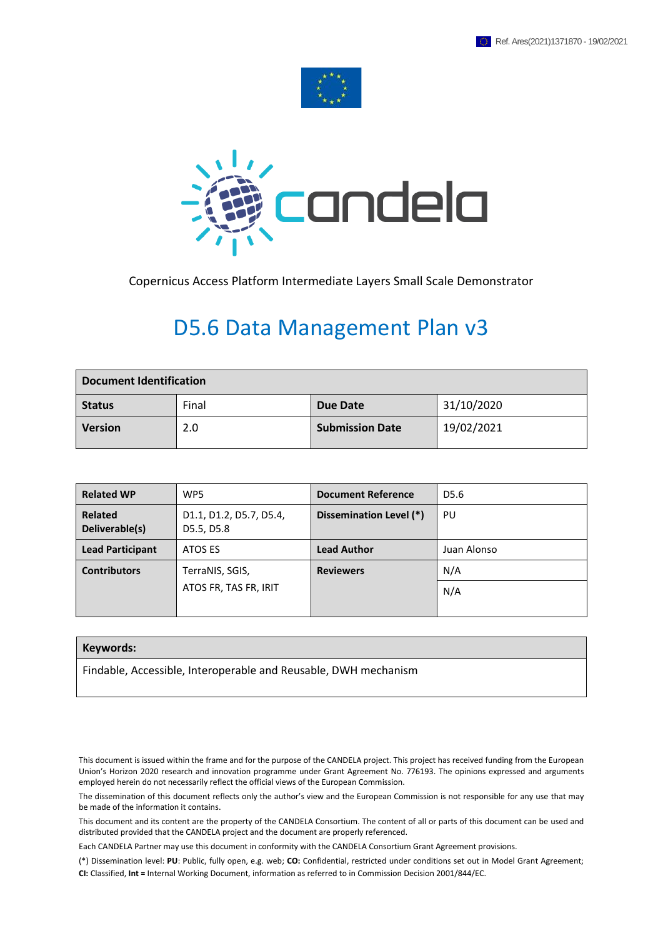



Copernicus Access Platform Intermediate Layers Small Scale Demonstrator

## D5.6 Data Management Plan v3

| <b>Document Identification</b> |       |                        |            |  |
|--------------------------------|-------|------------------------|------------|--|
| <b>Status</b>                  | Final | Due Date               | 31/10/2020 |  |
| <b>Version</b>                 | 2.0   | <b>Submission Date</b> | 19/02/2021 |  |

| <b>Related WP</b>                | WP5                                   | <b>Document Reference</b> | D5.6        |
|----------------------------------|---------------------------------------|---------------------------|-------------|
| <b>Related</b><br>Deliverable(s) | D1.1, D1.2, D5.7, D5.4,<br>D5.5, D5.8 | Dissemination Level (*)   | PU          |
| <b>Lead Participant</b>          | ATOS ES                               | <b>Lead Author</b>        | Juan Alonso |
| <b>Contributors</b>              | TerraNIS, SGIS,                       | <b>Reviewers</b>          | N/A         |
|                                  | ATOS FR, TAS FR, IRIT                 |                           | N/A         |
|                                  |                                       |                           |             |

#### **Keywords:**

Findable, Accessible, Interoperable and Reusable, DWH mechanism

This document is issued within the frame and for the purpose of the CANDELA project. This project has received funding from the European Union's Horizon 2020 research and innovation programme under Grant Agreement No. 776193. The opinions expressed and arguments employed herein do not necessarily reflect the official views of the European Commission.

The dissemination of this document reflects only the author's view and the European Commission is not responsible for any use that may be made of the information it contains.

This document and its content are the property of the CANDELA Consortium. The content of all or parts of this document can be used and distributed provided that the CANDELA project and the document are properly referenced.

Each CANDELA Partner may use this document in conformity with the CANDELA Consortium Grant Agreement provisions.

<sup>(\*)</sup> Dissemination level: **PU**: Public, fully open, e.g. web; **CO:** Confidential, restricted under conditions set out in Model Grant Agreement; **CI:** Classified, **Int =** Internal Working Document, information as referred to in Commission Decision 2001/844/EC.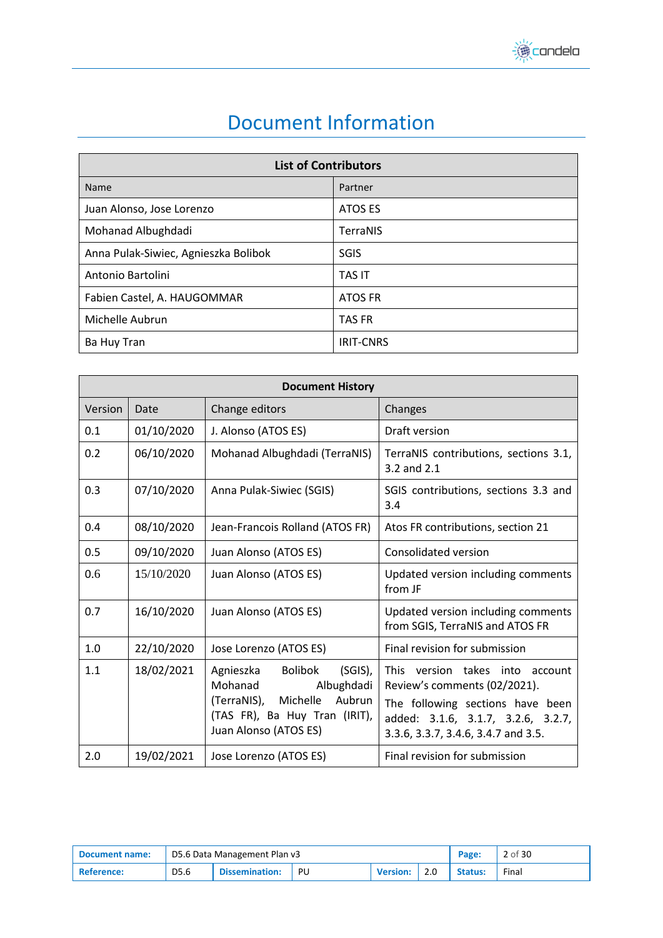

## Document Information

<span id="page-1-0"></span>

| <b>List of Contributors</b>          |                  |  |  |  |
|--------------------------------------|------------------|--|--|--|
| Name                                 | Partner          |  |  |  |
| Juan Alonso, Jose Lorenzo            | ATOS ES          |  |  |  |
| Mohanad Albughdadi                   | <b>TerraNIS</b>  |  |  |  |
| Anna Pulak-Siwiec, Agnieszka Bolibok | <b>SGIS</b>      |  |  |  |
| Antonio Bartolini                    | <b>TAS IT</b>    |  |  |  |
| Fabien Castel, A. HAUGOMMAR          | <b>ATOS FR</b>   |  |  |  |
| Michelle Aubrun                      | <b>TAS FR</b>    |  |  |  |
| Ba Huy Tran                          | <b>IRIT-CNRS</b> |  |  |  |

|         | <b>Document History</b> |                                                                                                                                                                   |                                                                                                                                                                                     |  |  |  |  |  |
|---------|-------------------------|-------------------------------------------------------------------------------------------------------------------------------------------------------------------|-------------------------------------------------------------------------------------------------------------------------------------------------------------------------------------|--|--|--|--|--|
| Version | Date                    | Change editors                                                                                                                                                    | Changes                                                                                                                                                                             |  |  |  |  |  |
| 0.1     | 01/10/2020              | J. Alonso (ATOS ES)                                                                                                                                               | Draft version                                                                                                                                                                       |  |  |  |  |  |
| 0.2     | 06/10/2020              | Mohanad Albughdadi (TerraNIS)                                                                                                                                     | TerraNIS contributions, sections 3.1,<br>3.2 and 2.1                                                                                                                                |  |  |  |  |  |
| 0.3     | 07/10/2020              | Anna Pulak-Siwiec (SGIS)                                                                                                                                          | SGIS contributions, sections 3.3 and<br>3.4                                                                                                                                         |  |  |  |  |  |
| 0.4     | 08/10/2020              | Jean-Francois Rolland (ATOS FR)                                                                                                                                   | Atos FR contributions, section 21                                                                                                                                                   |  |  |  |  |  |
| 0.5     | 09/10/2020              | Juan Alonso (ATOS ES)                                                                                                                                             | Consolidated version                                                                                                                                                                |  |  |  |  |  |
| 0.6     | 15/10/2020              | Juan Alonso (ATOS ES)                                                                                                                                             | Updated version including comments<br>from JF                                                                                                                                       |  |  |  |  |  |
| 0.7     | 16/10/2020              | Juan Alonso (ATOS ES)                                                                                                                                             | Updated version including comments<br>from SGIS, TerraNIS and ATOS FR                                                                                                               |  |  |  |  |  |
| 1.0     | 22/10/2020              | Jose Lorenzo (ATOS ES)                                                                                                                                            | Final revision for submission                                                                                                                                                       |  |  |  |  |  |
| 1.1     | 18/02/2021              | <b>Bolibok</b><br>$(SGIS)$ ,<br>Agnieszka<br>Mohanad<br>Albughdadi<br>(TerraNIS),<br>Michelle<br>Aubrun<br>(TAS FR), Ba Huy Tran (IRIT),<br>Juan Alonso (ATOS ES) | This version takes into<br>account<br>Review's comments (02/2021).<br>The following sections have been<br>added: 3.1.6, 3.1.7, 3.2.6, 3.2.7,<br>3.3.6, 3.3.7, 3.4.6, 3.4.7 and 3.5. |  |  |  |  |  |
| 2.0     | 19/02/2021              | Jose Lorenzo (ATOS ES)                                                                                                                                            | Final revision for submission                                                                                                                                                       |  |  |  |  |  |

| <b>Document name:</b> | D5.6 Data Management Plan v3 |                       |    |                 | Page: | 2 of 30        |       |
|-----------------------|------------------------------|-----------------------|----|-----------------|-------|----------------|-------|
| <b>Reference:</b>     | D5.6                         | <b>Dissemination:</b> | PU | <b>Version:</b> |       | <b>Status:</b> | Final |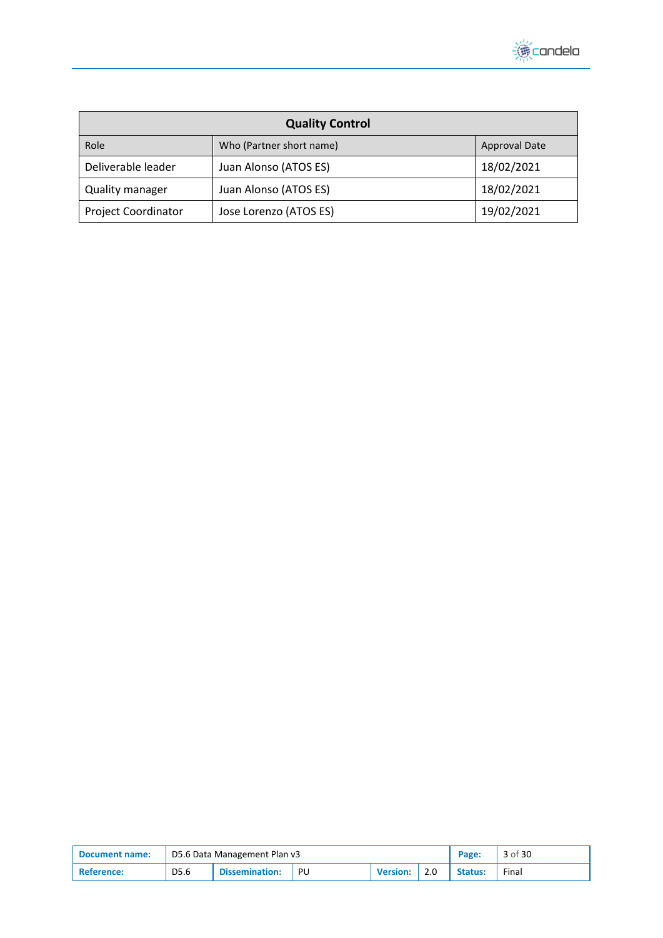

| <b>Quality Control</b>     |                          |                      |  |  |  |
|----------------------------|--------------------------|----------------------|--|--|--|
| Role                       | Who (Partner short name) | <b>Approval Date</b> |  |  |  |
| Deliverable leader         | Juan Alonso (ATOS ES)    | 18/02/2021           |  |  |  |
| <b>Quality manager</b>     | Juan Alonso (ATOS ES)    | 18/02/2021           |  |  |  |
| <b>Project Coordinator</b> | Jose Lorenzo (ATOS ES)   | 19/02/2021           |  |  |  |

| Document name: | D5.6 Data Management Plan v3 |                       |     |                 |  | Page:          | 3 of 30 |
|----------------|------------------------------|-----------------------|-----|-----------------|--|----------------|---------|
| ' Reference:   | D5.6                         | <b>Dissemination:</b> | PU. | <b>Version:</b> |  | <b>Status:</b> | Final   |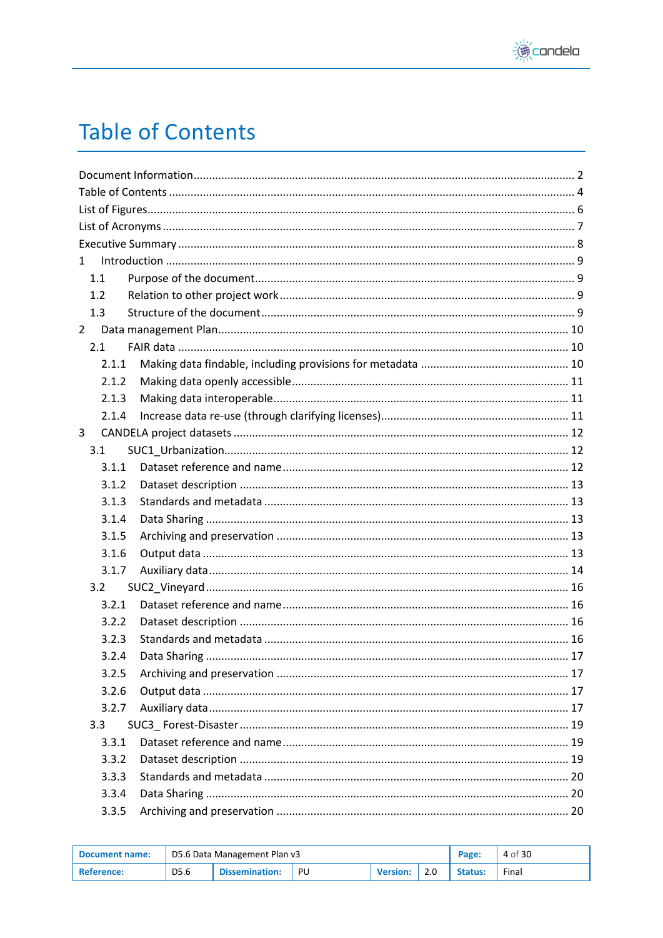

# <span id="page-3-0"></span>**Table of Contents**

| $\mathbf{1}$   |  |
|----------------|--|
| 1.1            |  |
| 1.2            |  |
| 1.3            |  |
| $\overline{2}$ |  |
| 2.1            |  |
| 2.1.1          |  |
| 2.1.2          |  |
| 2.1.3          |  |
| 2.1.4          |  |
| 3              |  |
| 3.1            |  |
| 3.1.1          |  |
| 3.1.2          |  |
| 3.1.3          |  |
| 3.1.4          |  |
| 3.1.5          |  |
| 3.1.6          |  |
| 3.1.7          |  |
| 3.2            |  |
| 3.2.1          |  |
| 3.2.2          |  |
| 3.2.3          |  |
| 3.2.4          |  |
| 3.2.5          |  |
| 3.2.6          |  |
| 3.2.7          |  |
| 3.3            |  |
| 3.3.1          |  |
| 3.3.2          |  |
| 3.3.3          |  |
| 3.3.4          |  |
| 3.3.5          |  |

| <b>Document name:</b> |                  |                       | D5.6 Data Management Plan v3 |                 |     |         |       |
|-----------------------|------------------|-----------------------|------------------------------|-----------------|-----|---------|-------|
| <b>Reference:</b>     | D <sub>5.6</sub> | <b>Dissemination:</b> | PU                           | <b>Version:</b> | 2.0 | Status: | Final |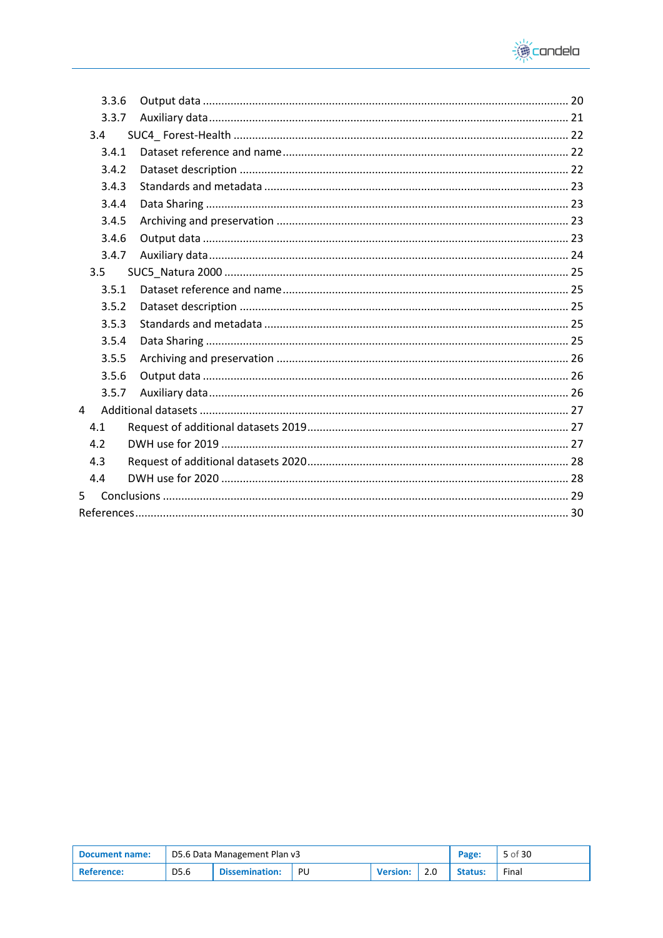

|   | 3.3.6 |  |
|---|-------|--|
|   | 3.3.7 |  |
|   | 3.4   |  |
|   | 3.4.1 |  |
|   | 3.4.2 |  |
|   | 3.4.3 |  |
|   | 3.4.4 |  |
|   | 3.4.5 |  |
|   | 3.4.6 |  |
|   | 3.4.7 |  |
|   | 3.5   |  |
|   | 3.5.1 |  |
|   | 3.5.2 |  |
|   | 3.5.3 |  |
|   | 3.5.4 |  |
|   | 3.5.5 |  |
|   | 3.5.6 |  |
|   | 3.5.7 |  |
| 4 |       |  |
|   | 4.1   |  |
|   | 4.2   |  |
|   | 4.3   |  |
|   | 4.4   |  |
| 5 |       |  |
|   |       |  |

| Document name: |      | D5.6 Data Management Plan v3 |    |                 |     |                | 5 of 30 |
|----------------|------|------------------------------|----|-----------------|-----|----------------|---------|
| ' Reference:   | D5.6 | Dissemination:               | PU | <b>Version:</b> | 2.0 | <b>Status:</b> | Final   |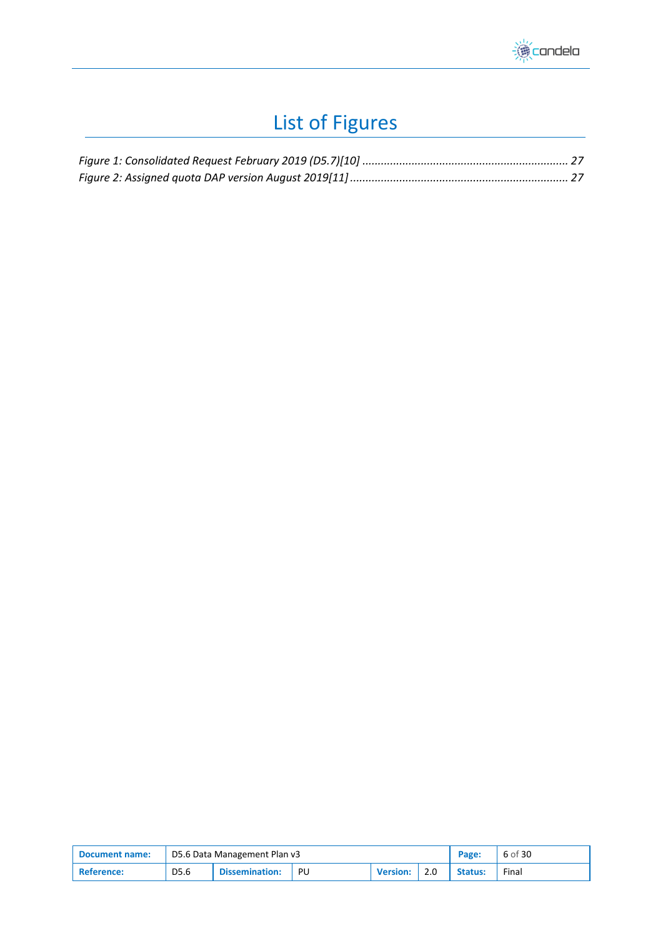

# List of Figures

<span id="page-5-0"></span>

| <b>Document name:</b> | D5.6 Data Management Plan v3 |                |    |                 |     | Page:   | 6 of 30 |
|-----------------------|------------------------------|----------------|----|-----------------|-----|---------|---------|
| Reference:            | D5.6                         | Dissemination: | PU | <b>Version:</b> | 2.0 | Status: | Final   |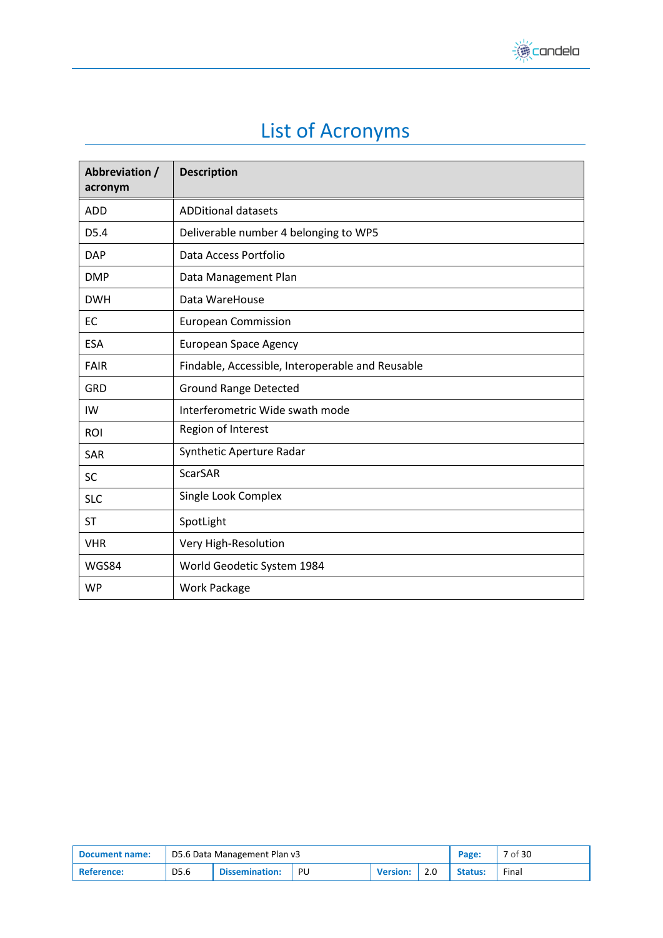

# List of Acronyms

<span id="page-6-0"></span>

| Abbreviation /<br>acronym | <b>Description</b>                               |
|---------------------------|--------------------------------------------------|
| <b>ADD</b>                | <b>ADDitional datasets</b>                       |
| D <sub>5.4</sub>          | Deliverable number 4 belonging to WP5            |
| <b>DAP</b>                | Data Access Portfolio                            |
| <b>DMP</b>                | Data Management Plan                             |
| <b>DWH</b>                | Data WareHouse                                   |
| EC                        | <b>European Commission</b>                       |
| <b>ESA</b>                | <b>European Space Agency</b>                     |
| <b>FAIR</b>               | Findable, Accessible, Interoperable and Reusable |
| GRD                       | <b>Ground Range Detected</b>                     |
| IW                        | Interferometric Wide swath mode                  |
| ROI                       | Region of Interest                               |
| SAR                       | Synthetic Aperture Radar                         |
| SC                        | <b>ScarSAR</b>                                   |
| <b>SLC</b>                | Single Look Complex                              |
| ST                        | SpotLight                                        |
| <b>VHR</b>                | Very High-Resolution                             |
| WGS84                     | World Geodetic System 1984                       |
| <b>WP</b>                 | <b>Work Package</b>                              |

| Document name: | D5.6 Data Management Plan v3 |                       |    |                 |  | Page:   | 7 of 30 |
|----------------|------------------------------|-----------------------|----|-----------------|--|---------|---------|
| 'Reference:    | D5.6                         | <b>Dissemination:</b> | PU | <b>Version:</b> |  | Status: | Final   |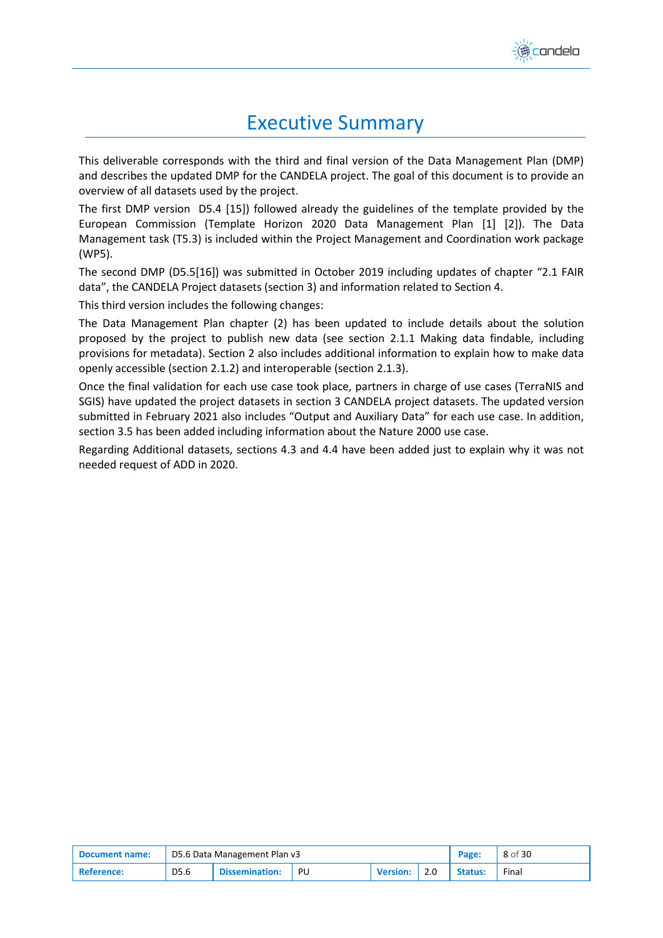

## Executive Summary

<span id="page-7-0"></span>This deliverable corresponds with the third and final version of the Data Management Plan (DMP) and describes the updated DMP for the CANDELA project. The goal of this document is to provide an overview of all datasets used by the project.

The first DMP version D5.4 [\[15\]\)](#page-29-1) followed already the guidelines of the template provided by the European Commission (Template Horizon 2020 Data Management Plan [\[1\]](#page-29-2) [\[2\]\)](#page-29-3). The Data Management task (T5.3) is included within the Project Management and Coordination work package (WP5).

The second DMP (D5.[5\[16\]\)](#page-29-4) was submitted in October 2019 including updates of chapter "2.1 FAIR data", the CANDELA Project datasets (section 3) and information related to Section 4.

This third version includes the following changes:

The Data Management Plan chapter [\(2\)](#page-9-0) has been updated to include details about the solution proposed by the project to publish new data (see section [2.1.1](#page-9-2) [Making data findable, including](#page-9-2)  [provisions for metadata\)](#page-9-2). Section [2](#page-9-0) also includes additional information to explain how to make data openly accessible (section [2.1.2\)](#page-10-0) and interoperable (section [2.1.3\)](#page-10-1).

Once the final validation for each use case took place, partners in charge of use cases (TerraNIS and SGIS) have updated the project datasets in section [3](#page-11-0) CANDELA [project datasets.](#page-11-0) The updated version submitted in February 2021 also includes "Output and Auxiliary Data" for each use case. In addition, sectio[n 3.5](#page-24-0) has been added including information about the Nature 2000 use case.

Regarding Additional datasets, sections [4.3](#page-27-0) and [4.4](#page-27-1) have been added just to explain why it was not needed request of ADD in 2020.

| Document name:    | D5.6 Data Management Plan v3 |                       |    |                 |  | Page:          | 8 of 30 |
|-------------------|------------------------------|-----------------------|----|-----------------|--|----------------|---------|
| <b>Reference:</b> | D5.6                         | <b>Dissemination:</b> | PU | <b>Version:</b> |  | <b>Status:</b> | Final   |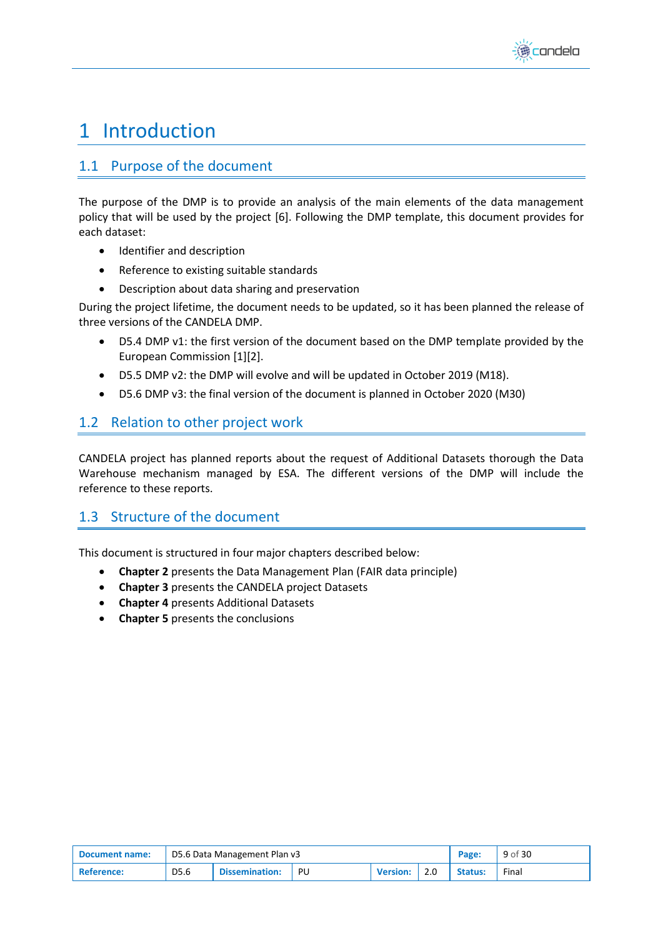

## <span id="page-8-0"></span>1 Introduction

## <span id="page-8-1"></span>1.1 Purpose of the document

The purpose of the DMP is to provide an analysis of the main elements of the data management policy that will be used by the project [\[6\].](#page-29-5) Following the DMP template, this document provides for each dataset:

- Identifier and description
- Reference to existing suitable standards
- Description about data sharing and preservation

During the project lifetime, the document needs to be updated, so it has been planned the release of three versions of the CANDELA DMP.

- D5.4 DMP v1: the first version of the document based on the DMP template provided by the European Commissio[n \[1\]](#page-29-2)[\[2\].](#page-29-3)
- D5.5 DMP v2: the DMP will evolve and will be updated in October 2019 (M18).
- D5.6 DMP v3: the final version of the document is planned in October 2020 (M30)

## <span id="page-8-2"></span>1.2 Relation to other project work

CANDELA project has planned reports about the request of Additional Datasets thorough the Data Warehouse mechanism managed by ESA. The different versions of the DMP will include the reference to these reports.

## <span id="page-8-3"></span>1.3 Structure of the document

This document is structured in four major chapters described below:

- **Chapter 2** presents the Data Management Plan (FAIR data principle)
- **Chapter 3** presents the CANDELA project Datasets
- **Chapter 4** presents Additional Datasets
- **Chapter 5** presents the conclusions

| Document name:          | D5.6 Data Management Plan v3 |                       |    |                 |  | Page:          | 9 of 30 |
|-------------------------|------------------------------|-----------------------|----|-----------------|--|----------------|---------|
| <sup>1</sup> Reference: | D5.6                         | <b>Dissemination:</b> | PU | <b>Version:</b> |  | <b>Status:</b> | Final   |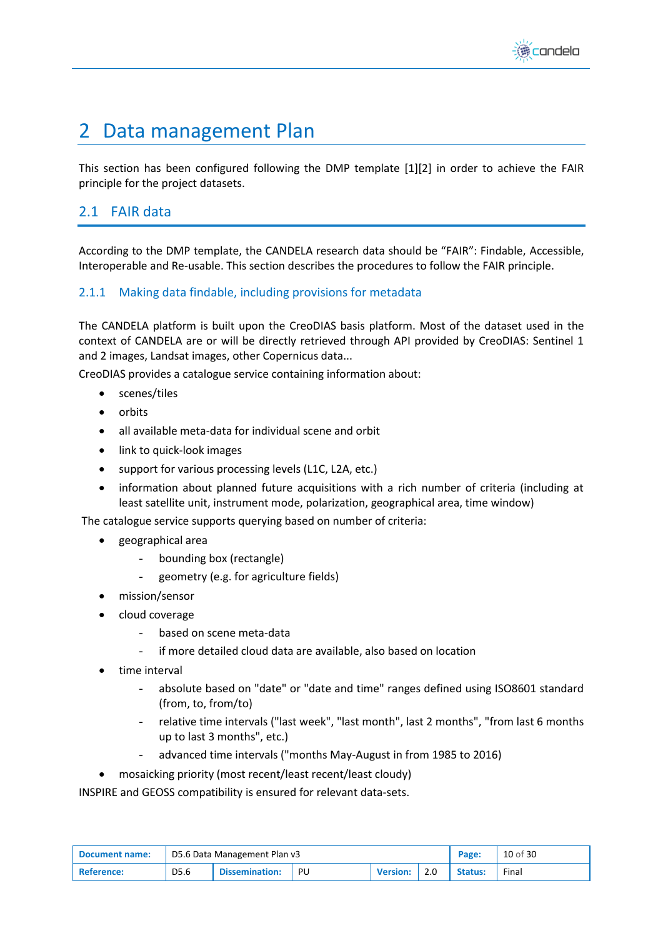

## <span id="page-9-0"></span>2 Data management Plan

This section has been configured following the DMP template [\[1\]](#page-29-2)[\[2\]](#page-29-3) in order to achieve the FAIR principle for the project datasets.

## <span id="page-9-1"></span>2.1 FAIR data

According to the DMP template, the CANDELA research data should be "FAIR": Findable, Accessible, Interoperable and Re-usable. This section describes the procedures to follow the FAIR principle.

#### <span id="page-9-2"></span>2.1.1 Making data findable, including provisions for metadata

The CANDELA platform is built upon the CreoDIAS basis platform. Most of the dataset used in the context of CANDELA are or will be directly retrieved through API provided by CreoDIAS: Sentinel 1 and 2 images, Landsat images, other Copernicus data...

CreoDIAS provides a catalogue service containing information about:

- scenes/tiles
- orbits
- all available meta-data for individual scene and orbit
- link to quick-look images
- support for various processing levels (L1C, L2A, etc.)
- information about planned future acquisitions with a rich number of criteria (including at least satellite unit, instrument mode, polarization, geographical area, time window)

The catalogue service supports querying based on number of criteria:

- geographical area
	- bounding box (rectangle)
	- geometry (e.g. for agriculture fields)
- mission/sensor
- cloud coverage
	- based on scene meta-data
	- if more detailed cloud data are available, also based on location
- time interval
	- absolute based on "date" or "date and time" ranges defined using ISO8601 standard (from, to, from/to)
	- relative time intervals ("last week", "last month", last 2 months", "from last 6 months up to last 3 months", etc.)
	- advanced time intervals ("months May-August in from 1985 to 2016)
- mosaicking priority (most recent/least recent/least cloudy)

INSPIRE and GEOSS compatibility is ensured for relevant data-sets.

| Document name: | D5.6 Data Management Plan v3 |                       |    |                 |     | Page:          | 10 of 30 |
|----------------|------------------------------|-----------------------|----|-----------------|-----|----------------|----------|
| Reference:     | D5.6                         | <b>Dissemination:</b> | PU | <b>Version:</b> | 2.0 | <b>Status:</b> | Final    |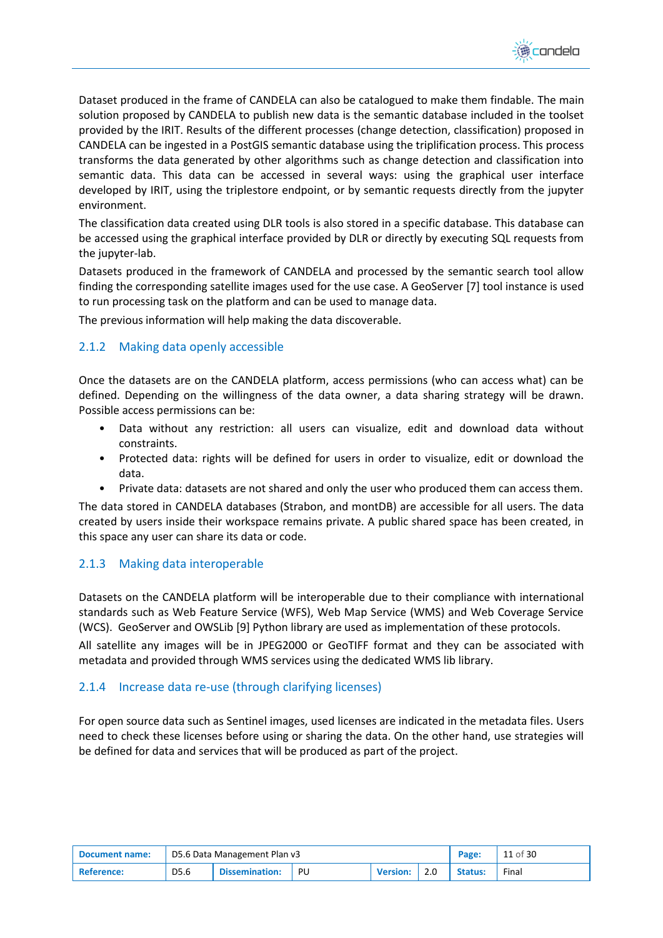

Dataset produced in the frame of CANDELA can also be catalogued to make them findable. The main solution proposed by CANDELA to publish new data is the semantic database included in the toolset provided by the IRIT. Results of the different processes (change detection, classification) proposed in CANDELA can be ingested in a PostGIS semantic database using the triplification process. This process transforms the data generated by other algorithms such as change detection and classification into semantic data. This data can be accessed in several ways: using the graphical user interface developed by IRIT, using the triplestore endpoint, or by semantic requests directly from the jupyter environment.

The classification data created using DLR tools is also stored in a specific database. This database can be accessed using the graphical interface provided by DLR or directly by executing SQL requests from the jupyter-lab.

Datasets produced in the framework of CANDELA and processed by the semantic search tool allow finding the corresponding satellite images used for the use case. A GeoServe[r \[7\]](#page-29-6) tool instance is used to run processing task on the platform and can be used to manage data.

The previous information will help making the data discoverable.

#### <span id="page-10-0"></span>2.1.2 Making data openly accessible

Once the datasets are on the CANDELA platform, access permissions (who can access what) can be defined. Depending on the willingness of the data owner, a data sharing strategy will be drawn. Possible access permissions can be:

- Data without any restriction: all users can visualize, edit and download data without constraints.
- Protected data: rights will be defined for users in order to visualize, edit or download the data.
- Private data: datasets are not shared and only the user who produced them can access them.

The data stored in CANDELA databases (Strabon, and montDB) are accessible for all users. The data created by users inside their workspace remains private. A public shared space has been created, in this space any user can share its data or code.

#### <span id="page-10-1"></span>2.1.3 Making data interoperable

Datasets on the CANDELA platform will be interoperable due to their compliance with international standards such as Web Feature Service (WFS), Web Map Service (WMS) and Web Coverage Service (WCS). GeoServer and OWSLib [\[9\]](#page-29-7) Python library are used as implementation of these protocols.

All satellite any images will be in JPEG2000 or GeoTIFF format and they can be associated with metadata and provided through WMS services using the dedicated WMS lib library.

#### <span id="page-10-2"></span>2.1.4 Increase data re-use (through clarifying licenses)

For open source data such as Sentinel images, used licenses are indicated in the metadata files. Users need to check these licenses before using or sharing the data. On the other hand, use strategies will be defined for data and services that will be produced as part of the project.

| Document name:    | D5.6 Data Management Plan v3 |                       |    |                 |     | Page:          | 11 of 30 |
|-------------------|------------------------------|-----------------------|----|-----------------|-----|----------------|----------|
| <b>Reference:</b> | D5.6                         | <b>Dissemination:</b> | PU | <b>Version:</b> | 2.0 | <b>Status:</b> | Final    |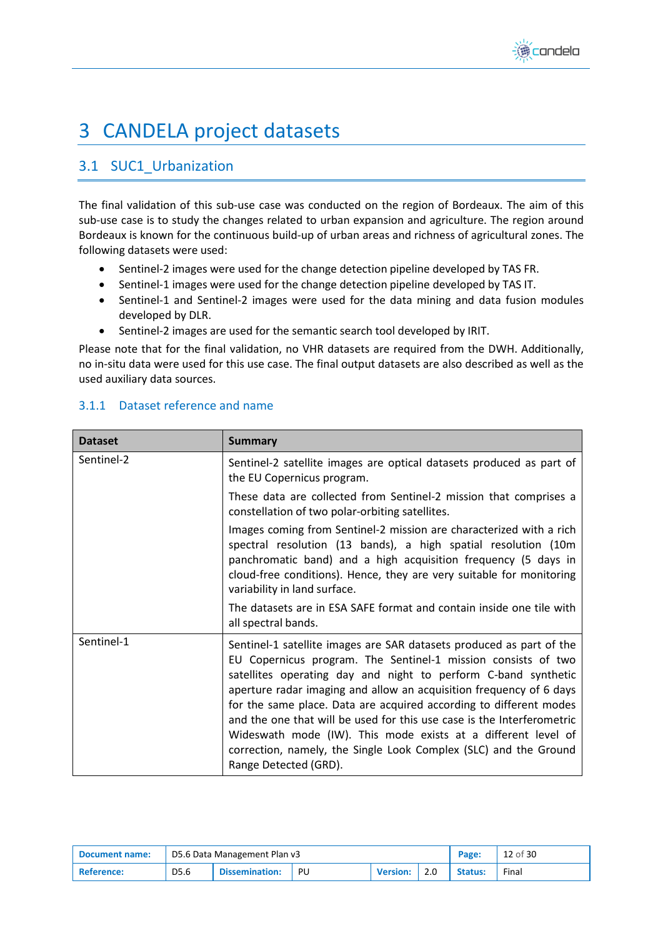

## <span id="page-11-0"></span>3 CANDELA project datasets

## <span id="page-11-1"></span>3.1 SUC1\_Urbanization

The final validation of this sub-use case was conducted on the region of Bordeaux. The aim of this sub-use case is to study the changes related to urban expansion and agriculture. The region around Bordeaux is known for the continuous build-up of urban areas and richness of agricultural zones. The following datasets were used:

- Sentinel-2 images were used for the change detection pipeline developed by TAS FR.
- Sentinel-1 images were used for the change detection pipeline developed by TAS IT.
- Sentinel-1 and Sentinel-2 images were used for the data mining and data fusion modules developed by DLR.
- Sentinel-2 images are used for the semantic search tool developed by IRIT.

Please note that for the final validation, no VHR datasets are required from the DWH. Additionally, no in-situ data were used for this use case. The final output datasets are also described as well as the used auxiliary data sources.

| <b>Dataset</b> | <b>Summary</b>                                                                                                                                                                                                                                                                                                                                                                                                                                                                                                                                                                               |
|----------------|----------------------------------------------------------------------------------------------------------------------------------------------------------------------------------------------------------------------------------------------------------------------------------------------------------------------------------------------------------------------------------------------------------------------------------------------------------------------------------------------------------------------------------------------------------------------------------------------|
| Sentinel-2     | Sentinel-2 satellite images are optical datasets produced as part of<br>the EU Copernicus program.                                                                                                                                                                                                                                                                                                                                                                                                                                                                                           |
|                | These data are collected from Sentinel-2 mission that comprises a<br>constellation of two polar-orbiting satellites.                                                                                                                                                                                                                                                                                                                                                                                                                                                                         |
|                | Images coming from Sentinel-2 mission are characterized with a rich<br>spectral resolution (13 bands), a high spatial resolution (10m<br>panchromatic band) and a high acquisition frequency (5 days in<br>cloud-free conditions). Hence, they are very suitable for monitoring<br>variability in land surface.                                                                                                                                                                                                                                                                              |
|                | The datasets are in ESA SAFE format and contain inside one tile with<br>all spectral bands.                                                                                                                                                                                                                                                                                                                                                                                                                                                                                                  |
| Sentinel-1     | Sentinel-1 satellite images are SAR datasets produced as part of the<br>EU Copernicus program. The Sentinel-1 mission consists of two<br>satellites operating day and night to perform C-band synthetic<br>aperture radar imaging and allow an acquisition frequency of 6 days<br>for the same place. Data are acquired according to different modes<br>and the one that will be used for this use case is the Interferometric<br>Wideswath mode (IW). This mode exists at a different level of<br>correction, namely, the Single Look Complex (SLC) and the Ground<br>Range Detected (GRD). |

### <span id="page-11-2"></span>3.1.1 Dataset reference and name

| Document name: | D5.6 Data Management Plan v3 |                       |    |                 |     | Page:          | 12 of 30 |
|----------------|------------------------------|-----------------------|----|-----------------|-----|----------------|----------|
| ' Reference:   | D5.6                         | <b>Dissemination:</b> | PU | <b>Version:</b> | 2.0 | <b>Status:</b> | Final    |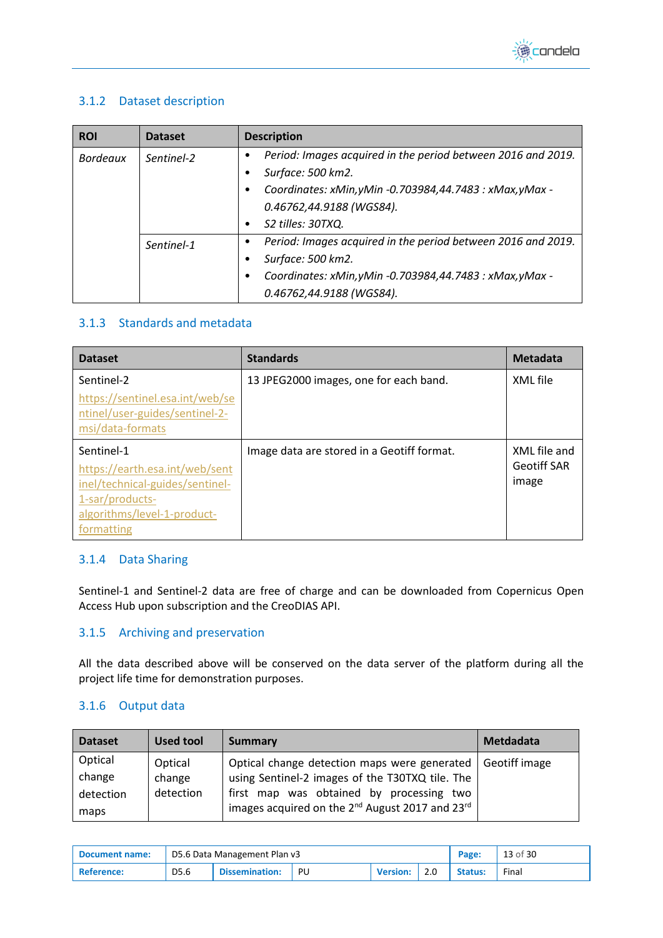

### <span id="page-12-0"></span>3.1.2 Dataset description

| <b>ROI</b>      | <b>Dataset</b> | <b>Description</b>                                                     |
|-----------------|----------------|------------------------------------------------------------------------|
| <b>Bordeaux</b> | Sentinel-2     | Period: Images acquired in the period between 2016 and 2019.<br>٠      |
|                 |                | Surface: 500 km2.                                                      |
|                 |                | Coordinates: xMin, yMin -0.703984, 44.7483 : xMax, yMax -<br>$\bullet$ |
|                 |                | 0.46762,44.9188 (WGS84).                                               |
|                 |                | S2 tilles: 30TXQ.<br>$\bullet$                                         |
|                 | Sentinel-1     | Period: Images acquired in the period between 2016 and 2019.<br>٠      |
|                 |                | Surface: 500 km2.                                                      |
|                 |                | Coordinates: xMin, yMin -0.703984, 44.7483 : xMax, yMax -<br>٠         |
|                 |                | 0.46762,44.9188 (WGS84).                                               |

#### <span id="page-12-1"></span>3.1.3 Standards and metadata

| <b>Dataset</b>                                                                        | <b>Standards</b>                           | Metadata           |
|---------------------------------------------------------------------------------------|--------------------------------------------|--------------------|
| Sentinel-2                                                                            | 13 JPEG2000 images, one for each band.     | XML file           |
| https://sentinel.esa.int/web/se<br>ntinel/user-guides/sentinel-2-<br>msi/data-formats |                                            |                    |
| Sentinel-1                                                                            | Image data are stored in a Geotiff format. | XML file and       |
| https://earth.esa.int/web/sent                                                        |                                            | <b>Geotiff SAR</b> |
| inel/technical-guides/sentinel-<br>1-sar/products-                                    |                                            | image              |
| algorithms/level-1-product-                                                           |                                            |                    |
| formatting                                                                            |                                            |                    |

### <span id="page-12-2"></span>3.1.4 Data Sharing

Sentinel-1 and Sentinel-2 data are free of charge and can be downloaded from Copernicus Open Access Hub upon subscription and the CreoDIAS API.

#### <span id="page-12-3"></span>3.1.5 Archiving and preservation

All the data described above will be conserved on the data server of the platform during all the project life time for demonstration purposes.

#### <span id="page-12-4"></span>3.1.6 Output data

| <b>Dataset</b> | <b>Used tool</b> | <b>Summary</b>                                                          | <b>Metdadata</b> |
|----------------|------------------|-------------------------------------------------------------------------|------------------|
| Optical        | Optical          | Optical change detection maps were generated                            | Geotiff image    |
| change         | change           | using Sentinel-2 images of the T30TXQ tile. The                         |                  |
| detection      | detection        | first map was obtained by processing two                                |                  |
| maps           |                  | images acquired on the 2 <sup>nd</sup> August 2017 and 23 <sup>rd</sup> |                  |

| Document name: | D5.6 Data Management Plan v3 |                       |      |                 | Page: | 13 of 30       |       |
|----------------|------------------------------|-----------------------|------|-----------------|-------|----------------|-------|
| ' Reference:   | D5.6                         | <b>Dissemination:</b> | - PU | <b>Version:</b> |       | <b>Status:</b> | Final |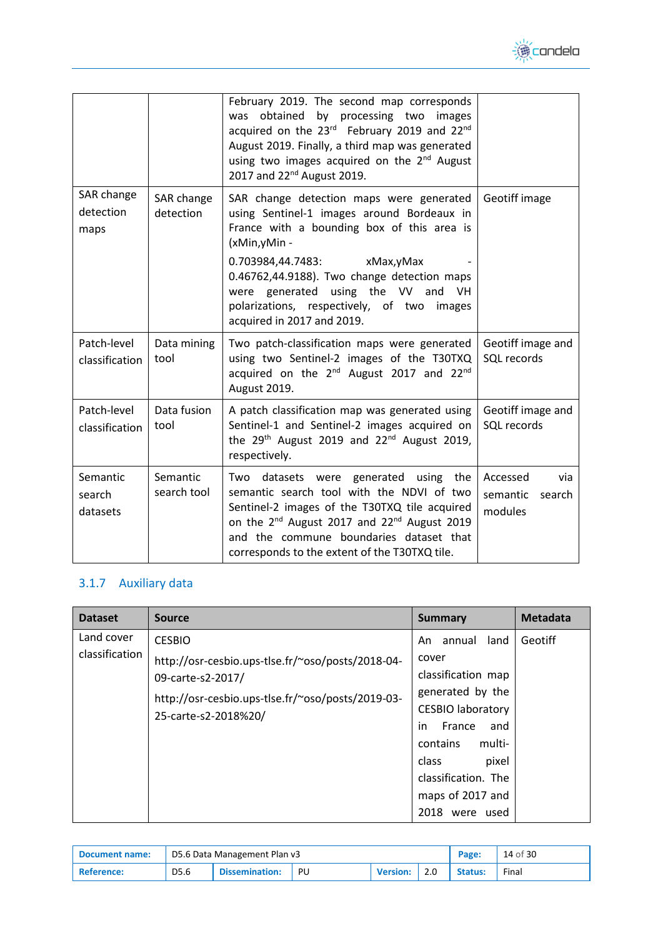

|                                 |                         | February 2019. The second map corresponds<br>obtained by processing two images<br>was<br>acquired on the 23rd February 2019 and 22nd<br>August 2019. Finally, a third map was generated<br>using two images acquired on the 2 <sup>nd</sup> August<br>2017 and 22 <sup>nd</sup> August 2019.                                                                |                                                  |  |
|---------------------------------|-------------------------|-------------------------------------------------------------------------------------------------------------------------------------------------------------------------------------------------------------------------------------------------------------------------------------------------------------------------------------------------------------|--------------------------------------------------|--|
| SAR change<br>detection<br>maps | SAR change<br>detection | SAR change detection maps were generated<br>using Sentinel-1 images around Bordeaux in<br>France with a bounding box of this area is<br>(xMin,yMin -<br>0.703984,44.7483:<br>xMax, yMax<br>0.46762,44.9188). Two change detection maps<br>were generated using the VV and VH<br>polarizations, respectively, of two<br>images<br>acquired in 2017 and 2019. | Geotiff image                                    |  |
| Patch-level<br>classification   | Data mining<br>tool     | Two patch-classification maps were generated<br>using two Sentinel-2 images of the T30TXQ<br>acquired on the 2 <sup>nd</sup> August 2017 and 22 <sup>nd</sup><br>August 2019.                                                                                                                                                                               | Geotiff image and<br>SQL records                 |  |
| Patch-level<br>classification   | Data fusion<br>tool     | A patch classification map was generated using<br>Sentinel-1 and Sentinel-2 images acquired on<br>the $29th$ August 2019 and $22nd$ August 2019,<br>respectively.                                                                                                                                                                                           | Geotiff image and<br>SQL records                 |  |
| Semantic<br>search<br>datasets  | Semantic<br>search tool | datasets were generated using the<br>Two<br>semantic search tool with the NDVI of two<br>Sentinel-2 images of the T30TXQ tile acquired<br>on the 2 <sup>nd</sup> August 2017 and 22 <sup>nd</sup> August 2019<br>and the commune boundaries dataset that<br>corresponds to the extent of the T30TXQ tile.                                                   | Accessed<br>via<br>semantic<br>search<br>modules |  |

## <span id="page-13-0"></span>3.1.7 Auxiliary data

| <b>Source</b>                                                                                                                                                        | Summary                                                                                                                                                                                                        | Metadata          |
|----------------------------------------------------------------------------------------------------------------------------------------------------------------------|----------------------------------------------------------------------------------------------------------------------------------------------------------------------------------------------------------------|-------------------|
| <b>CESBIO</b><br>http://osr-cesbio.ups-tlse.fr/~oso/posts/2018-04-<br>09-carte-s2-2017/<br>http://osr-cesbio.ups-tlse.fr/~oso/posts/2019-03-<br>25-carte-s2-2018%20/ | land<br>annual<br>An.<br>cover<br>classification map<br>generated by the<br><b>CESBIO laboratory</b><br>in<br>France<br>and<br>contains<br>multi-<br>class<br>pixel<br>classification. The<br>maps of 2017 and | Geotiff           |
|                                                                                                                                                                      |                                                                                                                                                                                                                | 2018<br>were used |

| Document name: | D5.6 Data Management Plan v3 |                       |    |                 | Page: | 14 of 30       |       |
|----------------|------------------------------|-----------------------|----|-----------------|-------|----------------|-------|
| Reference:     | D <sub>5.6</sub>             | <b>Dissemination:</b> | PU | <b>Version:</b> | 2.0   | <b>Status:</b> | Final |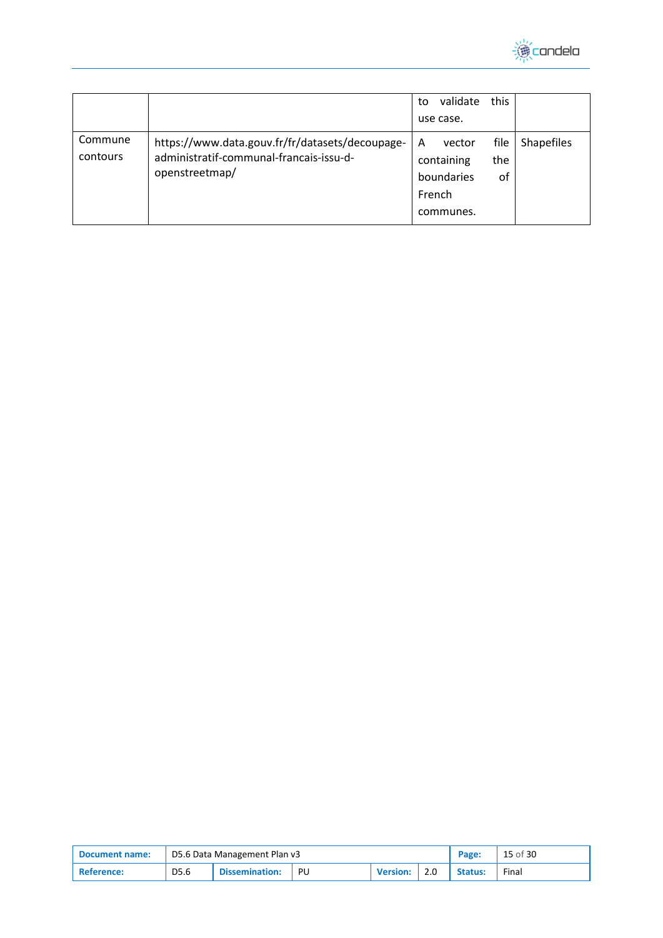

|                     |                                                                                                              | to<br>use case.           | validate                          | this              |                   |
|---------------------|--------------------------------------------------------------------------------------------------------------|---------------------------|-----------------------------------|-------------------|-------------------|
| Commune<br>contours | https://www.data.gouv.fr/fr/datasets/decoupage-<br>administratif-communal-francais-issu-d-<br>openstreetmap/ | Α<br>containing<br>French | vector<br>boundaries<br>communes. | file<br>the<br>0f | <b>Shapefiles</b> |

| <b>Document name:</b> | D5.6 Data Management Plan v3 |                       |    |                 | Page: | 15 of 30       |       |
|-----------------------|------------------------------|-----------------------|----|-----------------|-------|----------------|-------|
| <b>Reference:</b>     | D5.6                         | <b>Dissemination:</b> | PU | <b>Version:</b> | 2.0   | <b>Status:</b> | Final |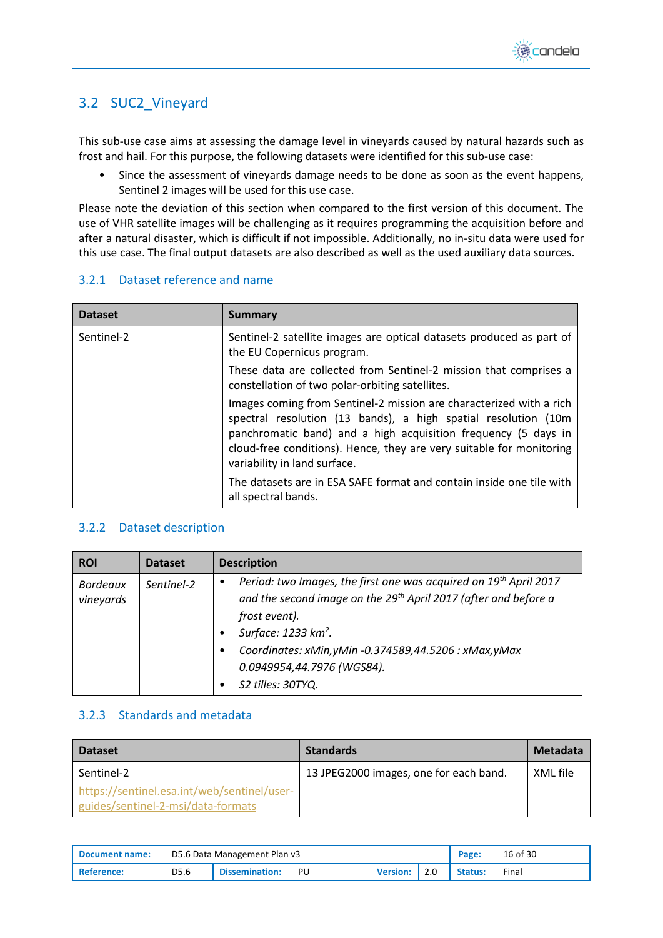

## <span id="page-15-0"></span>3.2 SUC2\_Vineyard

This sub-use case aims at assessing the damage level in vineyards caused by natural hazards such as frost and hail. For this purpose, the following datasets were identified for this sub-use case:

• Since the assessment of vineyards damage needs to be done as soon as the event happens, Sentinel 2 images will be used for this use case.

Please note the deviation of this section when compared to the first version of this document. The use of VHR satellite images will be challenging as it requires programming the acquisition before and after a natural disaster, which is difficult if not impossible. Additionally, no in-situ data were used for this use case. The final output datasets are also described as well as the used auxiliary data sources.

#### <span id="page-15-1"></span>3.2.1 Dataset reference and name

| <b>Dataset</b> | Summary                                                                                                                                                                                                                                                                                                         |
|----------------|-----------------------------------------------------------------------------------------------------------------------------------------------------------------------------------------------------------------------------------------------------------------------------------------------------------------|
| Sentinel-2     | Sentinel-2 satellite images are optical datasets produced as part of<br>the EU Copernicus program.                                                                                                                                                                                                              |
|                | These data are collected from Sentinel-2 mission that comprises a<br>constellation of two polar-orbiting satellites.                                                                                                                                                                                            |
|                | Images coming from Sentinel-2 mission are characterized with a rich<br>spectral resolution (13 bands), a high spatial resolution (10m<br>panchromatic band) and a high acquisition frequency (5 days in<br>cloud-free conditions). Hence, they are very suitable for monitoring<br>variability in land surface. |
|                | The datasets are in ESA SAFE format and contain inside one tile with<br>all spectral bands.                                                                                                                                                                                                                     |

#### <span id="page-15-2"></span>3.2.2 Dataset description

| <b>ROI</b>                   | <b>Dataset</b> | <b>Description</b>                                                                                                                                                                                                                                                                                                                  |
|------------------------------|----------------|-------------------------------------------------------------------------------------------------------------------------------------------------------------------------------------------------------------------------------------------------------------------------------------------------------------------------------------|
| <b>Bordeaux</b><br>vineyards | Sentinel-2     | Period: two Images, the first one was acquired on 19 <sup>th</sup> April 2017<br>٠<br>and the second image on the 29 <sup>th</sup> April 2017 (after and before a<br>frost event).<br>Surface: 1233 km <sup>2</sup> .<br>Coordinates: xMin, yMin -0.374589, 44.5206 : xMax, yMax<br>0.0949954,44.7976 (WGS84).<br>S2 tilles: 30TYQ. |

### <span id="page-15-3"></span>3.2.3 Standards and metadata

| <b>Dataset</b>                                                                    | <b>Standards</b>                       | Metadata |
|-----------------------------------------------------------------------------------|----------------------------------------|----------|
| Sentinel-2                                                                        | 13 JPEG2000 images, one for each band. | XML file |
| https://sentinel.esa.int/web/sentinel/user-<br>guides/sentinel-2-msi/data-formats |                                        |          |

| <b>Document name:</b> | D5.6 Data Management Plan v3 |                       |    |                 |     | Page:   | 16 of 30 |
|-----------------------|------------------------------|-----------------------|----|-----------------|-----|---------|----------|
| ' Reference:          | D5.6                         | <b>Dissemination:</b> | PU | <b>Version:</b> | 2.0 | Status: | Final    |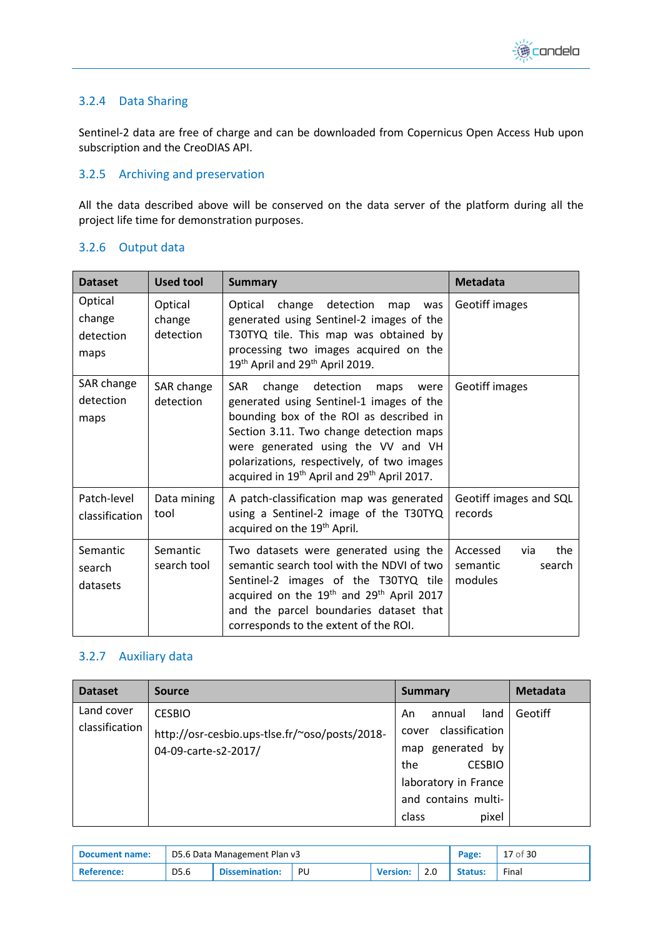

### <span id="page-16-0"></span>3.2.4 Data Sharing

Sentinel-2 data are free of charge and can be downloaded from Copernicus Open Access Hub upon subscription and the CreoDIAS API.

#### <span id="page-16-1"></span>3.2.5 Archiving and preservation

All the data described above will be conserved on the data server of the platform during all the project life time for demonstration purposes.

### <span id="page-16-2"></span>3.2.6 Output data

| <b>Dataset</b>                         | <b>Used tool</b>               | <b>Summary</b>                                                                                                                                                                                                                                                                                                                              | <b>Metadata</b>                                         |  |
|----------------------------------------|--------------------------------|---------------------------------------------------------------------------------------------------------------------------------------------------------------------------------------------------------------------------------------------------------------------------------------------------------------------------------------------|---------------------------------------------------------|--|
| Optical<br>change<br>detection<br>maps | Optical<br>change<br>detection | Optical change detection<br>map<br>was<br>generated using Sentinel-2 images of the<br>T30TYQ tile. This map was obtained by<br>processing two images acquired on the<br>19 <sup>th</sup> April and 29 <sup>th</sup> April 2019.                                                                                                             | Geotiff images                                          |  |
| SAR change<br>detection<br>maps        | SAR change<br>detection        | <b>SAR</b><br>change detection<br>maps<br>were<br>generated using Sentinel-1 images of the<br>bounding box of the ROI as described in<br>Section 3.11. Two change detection maps<br>were generated using the VV and VH<br>polarizations, respectively, of two images<br>acquired in 19 <sup>th</sup> April and 29 <sup>th</sup> April 2017. | Geotiff images                                          |  |
| Patch-level<br>classification          | Data mining<br>tool            | A patch-classification map was generated<br>using a Sentinel-2 image of the T30TYQ<br>acquired on the 19 <sup>th</sup> April.                                                                                                                                                                                                               | Geotiff images and SQL<br>records                       |  |
| Semantic<br>search<br>datasets         | Semantic<br>search tool        | Two datasets were generated using the<br>semantic search tool with the NDVI of two<br>Sentinel-2 images of the T30TYQ tile<br>acquired on the $19th$ and $29th$ April 2017<br>and the parcel boundaries dataset that<br>corresponds to the extent of the ROI.                                                                               | Accessed<br>the<br>via<br>semantic<br>search<br>modules |  |

#### <span id="page-16-3"></span>3.2.7 Auxiliary data

| <b>Dataset</b>               | <b>Source</b>                                                                           | <b>Summary</b>                                                                                                         | <b>Metadata</b> |
|------------------------------|-----------------------------------------------------------------------------------------|------------------------------------------------------------------------------------------------------------------------|-----------------|
| Land cover<br>classification | <b>CESBIO</b><br>http://osr-cesbio.ups-tlse.fr/~oso/posts/2018-<br>04-09-carte-s2-2017/ | land<br>annual<br>An<br>classification<br>cover<br>generated by<br>map<br><b>CESBIO</b><br>the<br>laboratory in France | Geotiff         |
|                              |                                                                                         | and contains multi-<br>pixel<br>class                                                                                  |                 |

| Document name: | D5.6 Data Management Plan v3 |                       |    |                 |     | Page:          | 17 of 30 |
|----------------|------------------------------|-----------------------|----|-----------------|-----|----------------|----------|
| ' Reference:   | D5.6                         | <b>Dissemination:</b> | PU | <b>Version:</b> | 2.0 | <b>Status:</b> | Final    |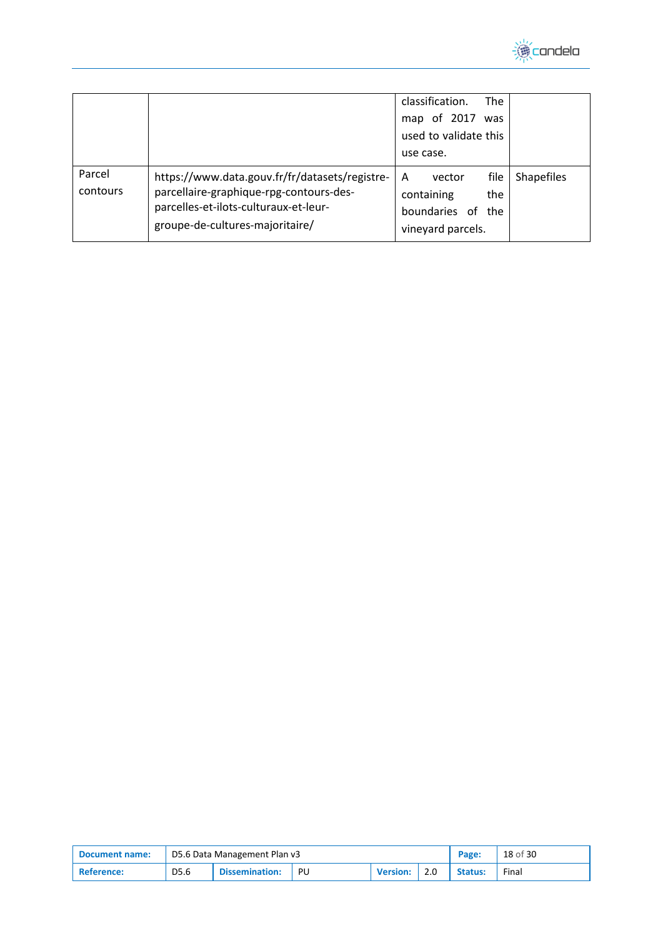

|                    |                                                                                                                                                                       | classification.<br><b>The</b><br>of 2017 was<br>map<br>used to validate this<br>use case.               |
|--------------------|-----------------------------------------------------------------------------------------------------------------------------------------------------------------------|---------------------------------------------------------------------------------------------------------|
| Parcel<br>contours | https://www.data.gouv.fr/fr/datasets/registre-<br>parcellaire-graphique-rpg-contours-des-<br>parcelles-et-ilots-culturaux-et-leur-<br>groupe-de-cultures-majoritaire/ | file<br><b>Shapefiles</b><br>A<br>vector<br>containing<br>the<br>boundaries of the<br>vineyard parcels. |

| Document name: | D5.6 Data Management Plan v3 |                       |    |                 |     | Page:          | 18 of 30 |
|----------------|------------------------------|-----------------------|----|-----------------|-----|----------------|----------|
| ' Reference:   | D5.6                         | <b>Dissemination:</b> | PU | <b>Version:</b> | 2.0 | <b>Status:</b> | Final    |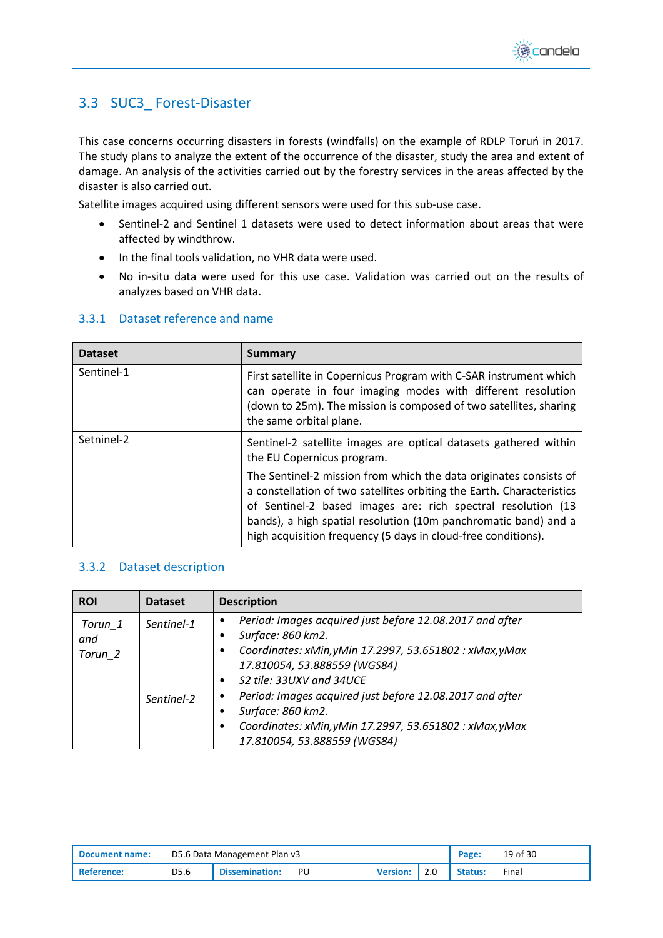

## <span id="page-18-0"></span>3.3 SUC3\_ Forest-Disaster

This case concerns occurring disasters in forests (windfalls) on the example of RDLP Toruń in 2017. The study plans to analyze the extent of the occurrence of the disaster, study the area and extent of damage. An analysis of the activities carried out by the forestry services in the areas affected by the disaster is also carried out.

Satellite images acquired using different sensors were used for this sub-use case.

- Sentinel-2 and Sentinel 1 datasets were used to detect information about areas that were affected by windthrow.
- In the final tools validation, no VHR data were used.
- No in-situ data were used for this use case. Validation was carried out on the results of analyzes based on VHR data.

| <b>Dataset</b> | <b>Summary</b>                                                                                                                                                                                                                                                                                                                                 |
|----------------|------------------------------------------------------------------------------------------------------------------------------------------------------------------------------------------------------------------------------------------------------------------------------------------------------------------------------------------------|
| Sentinel-1     | First satellite in Copernicus Program with C-SAR instrument which<br>can operate in four imaging modes with different resolution<br>(down to 25m). The mission is composed of two satellites, sharing<br>the same orbital plane.                                                                                                               |
| Setninel-2     | Sentinel-2 satellite images are optical datasets gathered within<br>the EU Copernicus program.                                                                                                                                                                                                                                                 |
|                | The Sentinel-2 mission from which the data originates consists of<br>a constellation of two satellites orbiting the Earth. Characteristics<br>of Sentinel-2 based images are: rich spectral resolution (13<br>bands), a high spatial resolution (10m panchromatic band) and a<br>high acquisition frequency (5 days in cloud-free conditions). |

#### <span id="page-18-1"></span>3.3.1 Dataset reference and name

#### <span id="page-18-2"></span>3.3.2 Dataset description

| <b>ROI</b>                | <b>Dataset</b> | <b>Description</b>                                                                                                                                                                                        |
|---------------------------|----------------|-----------------------------------------------------------------------------------------------------------------------------------------------------------------------------------------------------------|
| Torun 1<br>and<br>Torun_2 | Sentinel-1     | Period: Images acquired just before 12.08.2017 and after<br>٠<br>Surface: 860 km2.<br>Coordinates: xMin, yMin 17.2997, 53.651802 : xMax, yMax<br>17.810054, 53.888559 (WGS84)<br>S2 tile: 33UXV and 34UCE |
|                           | Sentinel-2     | Period: Images acquired just before 12.08.2017 and after<br>٠<br>Surface: 860 km2.<br>Coordinates: xMin, yMin 17.2997, 53.651802 : xMax, yMax<br>17.810054, 53.888559 (WGS84)                             |

| Document name: | D5.6 Data Management Plan v3 |                       |    |                 |     | Page:          | 19 of 30 |
|----------------|------------------------------|-----------------------|----|-----------------|-----|----------------|----------|
| ' Reference:   | D5.6                         | <b>Dissemination:</b> | PU | <b>Version:</b> | 2.0 | <b>Status:</b> | Final    |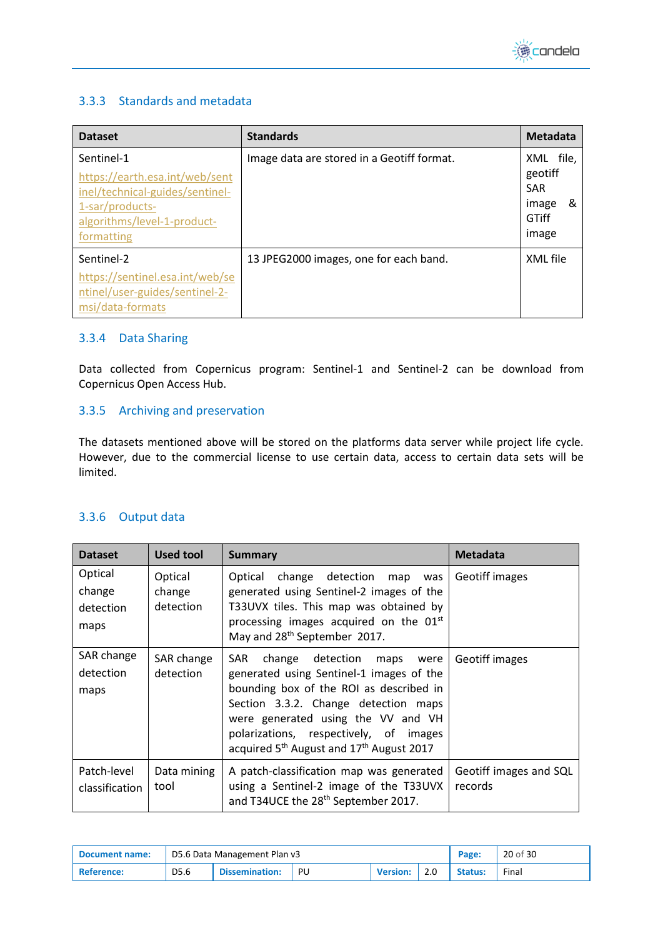

#### <span id="page-19-0"></span>3.3.3 Standards and metadata

| <b>Dataset</b>                                                                                                                                  | <b>Standards</b>                           | <b>Metadata</b>                                                    |
|-------------------------------------------------------------------------------------------------------------------------------------------------|--------------------------------------------|--------------------------------------------------------------------|
| Sentinel-1<br>https://earth.esa.int/web/sent<br>inel/technical-guides/sentinel-<br>1-sar/products-<br>algorithms/level-1-product-<br>formatting | Image data are stored in a Geotiff format. | XML file,<br>geotiff<br><b>SAR</b><br>&<br>image<br>GTiff<br>image |
| Sentinel-2<br>https://sentinel.esa.int/web/se<br>ntinel/user-guides/sentinel-2-<br>msi/data-formats                                             | 13 JPEG2000 images, one for each band.     | XML file                                                           |

#### <span id="page-19-1"></span>3.3.4 Data Sharing

Data collected from Copernicus program: Sentinel-1 and Sentinel-2 can be download from Copernicus Open Access Hub.

#### <span id="page-19-2"></span>3.3.5 Archiving and preservation

The datasets mentioned above will be stored on the platforms data server while project life cycle. However, due to the commercial license to use certain data, access to certain data sets will be limited.

#### <span id="page-19-3"></span>3.3.6 Output data

| <b>Dataset</b>                         | <b>Used tool</b>               | <b>Summary</b>                                                                                                                                                                                                                                                                                                                 | <b>Metadata</b>                   |
|----------------------------------------|--------------------------------|--------------------------------------------------------------------------------------------------------------------------------------------------------------------------------------------------------------------------------------------------------------------------------------------------------------------------------|-----------------------------------|
| Optical<br>change<br>detection<br>maps | Optical<br>change<br>detection | Optical change detection<br>map<br>was<br>generated using Sentinel-2 images of the<br>T33UVX tiles. This map was obtained by<br>processing images acquired on the 01 <sup>st</sup><br>May and 28 <sup>th</sup> September 2017.                                                                                                 | Geotiff images                    |
| SAR change<br>detection<br>maps        | SAR change<br>detection        | <b>SAR</b><br>change detection<br>maps were<br>generated using Sentinel-1 images of the<br>bounding box of the ROI as described in<br>Section 3.3.2. Change detection maps<br>were generated using the VV and VH<br>polarizations, respectively, of images<br>acquired 5 <sup>th</sup> August and 17 <sup>th</sup> August 2017 | Geotiff images                    |
| Patch-level<br>classification          | Data mining<br>tool            | A patch-classification map was generated<br>using a Sentinel-2 image of the T33UVX<br>and T34UCE the 28 <sup>th</sup> September 2017.                                                                                                                                                                                          | Geotiff images and SQL<br>records |

| Document name:          | D5.6 Data Management Plan v3 |                       |    |                 |     | Page:          | 20 of 30 |
|-------------------------|------------------------------|-----------------------|----|-----------------|-----|----------------|----------|
| <sup>'</sup> Reference: | D5.6                         | <b>Dissemination:</b> | PU | <b>Version:</b> | 2.0 | <b>Status:</b> | Final    |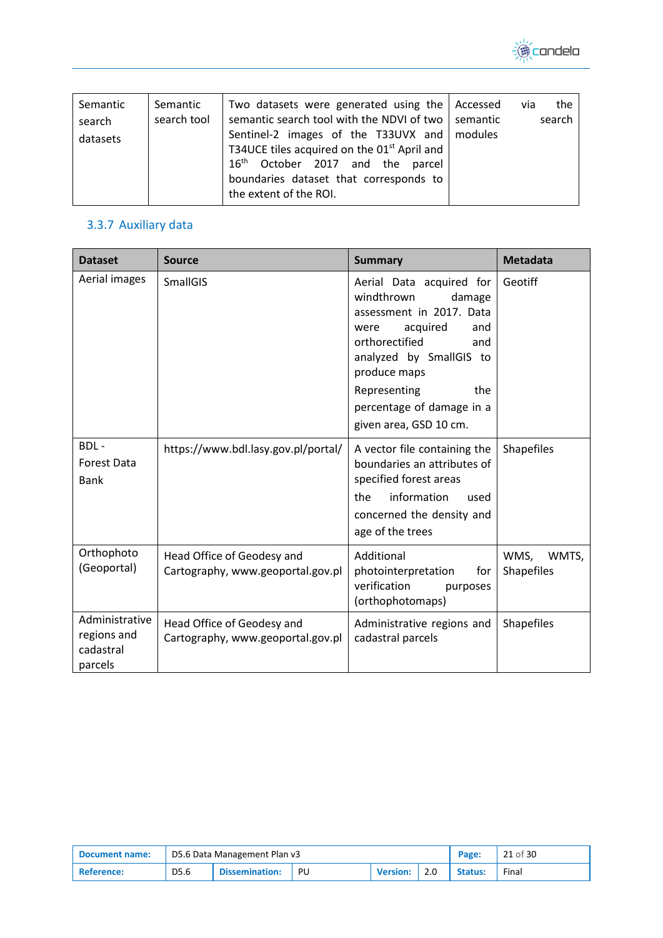

## <span id="page-20-0"></span>3.3.7 Auxiliary data

| <b>Dataset</b>                                        | <b>Source</b>                                                   | <b>Summary</b>                                                                                                                                                                                                                                            | <b>Metadata</b>             |
|-------------------------------------------------------|-----------------------------------------------------------------|-----------------------------------------------------------------------------------------------------------------------------------------------------------------------------------------------------------------------------------------------------------|-----------------------------|
| Aerial images                                         | <b>SmallGIS</b>                                                 | Aerial Data acquired for<br>windthrown<br>damage<br>assessment in 2017. Data<br>acquired<br>and<br>were<br>orthorectified<br>and<br>analyzed by SmallGIS to<br>produce maps<br>Representing<br>the<br>percentage of damage in a<br>given area, GSD 10 cm. | Geotiff                     |
| BDL-<br><b>Forest Data</b><br><b>Bank</b>             | https://www.bdl.lasy.gov.pl/portal/                             | A vector file containing the<br>boundaries an attributes of<br>specified forest areas<br>information<br>the<br>used<br>concerned the density and<br>age of the trees                                                                                      | <b>Shapefiles</b>           |
| Orthophoto<br>(Geoportal)                             | Head Office of Geodesy and<br>Cartography, www.geoportal.gov.pl | Additional<br>photointerpretation<br>for<br>verification<br>purposes<br>(orthophotomaps)                                                                                                                                                                  | WMS,<br>WMTS,<br>Shapefiles |
| Administrative<br>regions and<br>cadastral<br>parcels | Head Office of Geodesy and<br>Cartography, www.geoportal.gov.pl | Administrative regions and<br>cadastral parcels                                                                                                                                                                                                           | <b>Shapefiles</b>           |

| Document name: | D5.6 Data Management Plan v3 |                       |    |                 |     | Page:          | 21 of 30 |
|----------------|------------------------------|-----------------------|----|-----------------|-----|----------------|----------|
| ' Reference:   | D5.6                         | <b>Dissemination:</b> | PU | <b>Version:</b> | 2.0 | <b>Status:</b> | Final    |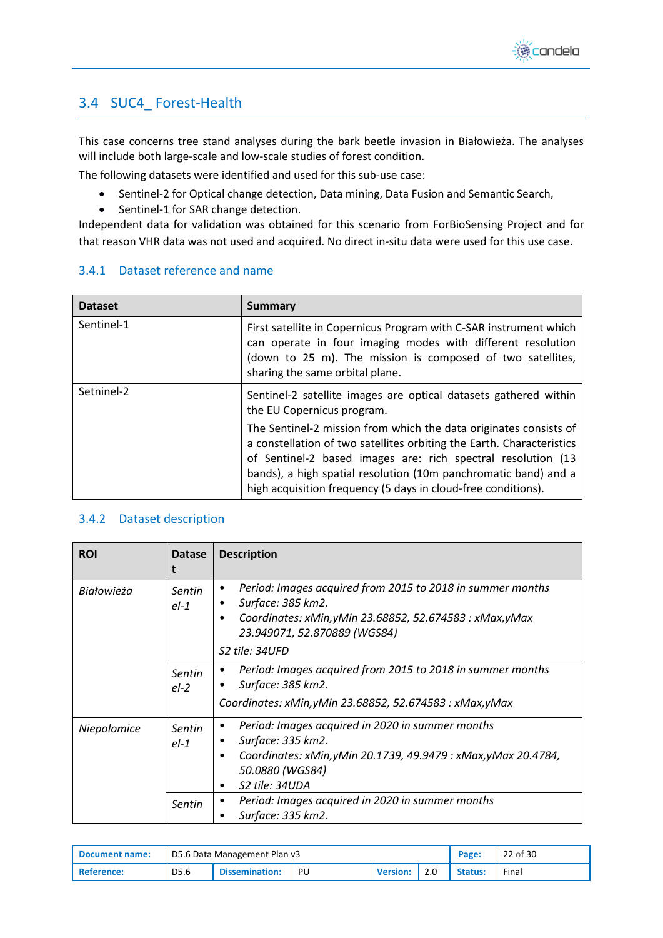

## <span id="page-21-0"></span>3.4 SUC4\_ Forest-Health

This case concerns tree stand analyses during the bark beetle invasion in Białowieża. The analyses will include both large-scale and low-scale studies of forest condition.

The following datasets were identified and used for this sub-use case:

- Sentinel-2 for Optical change detection, Data mining, Data Fusion and Semantic Search,
- Sentinel-1 for SAR change detection.

Independent data for validation was obtained for this scenario from ForBioSensing Project and for that reason VHR data was not used and acquired. No direct in-situ data were used for this use case.

#### <span id="page-21-1"></span>3.4.1 Dataset reference and name

| <b>Dataset</b> | <b>Summary</b>                                                                                                                                                                                                                                                                                                                                 |
|----------------|------------------------------------------------------------------------------------------------------------------------------------------------------------------------------------------------------------------------------------------------------------------------------------------------------------------------------------------------|
| Sentinel-1     | First satellite in Copernicus Program with C-SAR instrument which<br>can operate in four imaging modes with different resolution<br>(down to 25 m). The mission is composed of two satellites,<br>sharing the same orbital plane.                                                                                                              |
| Setninel-2     | Sentinel-2 satellite images are optical datasets gathered within<br>the EU Copernicus program.                                                                                                                                                                                                                                                 |
|                | The Sentinel-2 mission from which the data originates consists of<br>a constellation of two satellites orbiting the Earth. Characteristics<br>of Sentinel-2 based images are: rich spectral resolution (13<br>bands), a high spatial resolution (10m panchromatic band) and a<br>high acquisition frequency (5 days in cloud-free conditions). |

#### <span id="page-21-2"></span>3.4.2 Dataset description

| <b>ROI</b>  | <b>Datase</b>    | <b>Description</b>                                                                                                                                                                                                       |
|-------------|------------------|--------------------------------------------------------------------------------------------------------------------------------------------------------------------------------------------------------------------------|
| Białowieża  | Sentin<br>$el-1$ | Period: Images acquired from 2015 to 2018 in summer months<br>٠<br>Surface: 385 km2.<br>٠<br>Coordinates: xMin, yMin 23.68852, 52.674583 : xMax, yMax<br>٠<br>23.949071, 52.870889 (WGS84)<br>S <sub>2</sub> tile: 34UFD |
|             | Sentin<br>$el-2$ | Period: Images acquired from 2015 to 2018 in summer months<br>Surface: 385 km2.<br>$\bullet$<br>Coordinates: xMin, yMin 23.68852, 52.674583 : xMax, yMax                                                                 |
| Niepolomice | Sentin<br>$el-1$ | Period: Images acquired in 2020 in summer months<br>Surface: 335 km2.<br>Coordinates: xMin, yMin 20.1739, 49.9479 : xMax, yMax 20.4784,<br>٠<br>50.0880 (WGS84)<br>S2 tile: 34UDA<br>٠                                   |
|             | Sentin           | Period: Images acquired in 2020 in summer months<br>Surface: 335 km2.                                                                                                                                                    |

| Document name:    |                  | D5.6 Data Management Plan v3 |     |                 |  |                | 22 of 30 |
|-------------------|------------------|------------------------------|-----|-----------------|--|----------------|----------|
| <b>Reference:</b> | D <sub>5.6</sub> | <b>Dissemination:</b>        | PU. | <b>Version:</b> |  | <b>Status:</b> | Final    |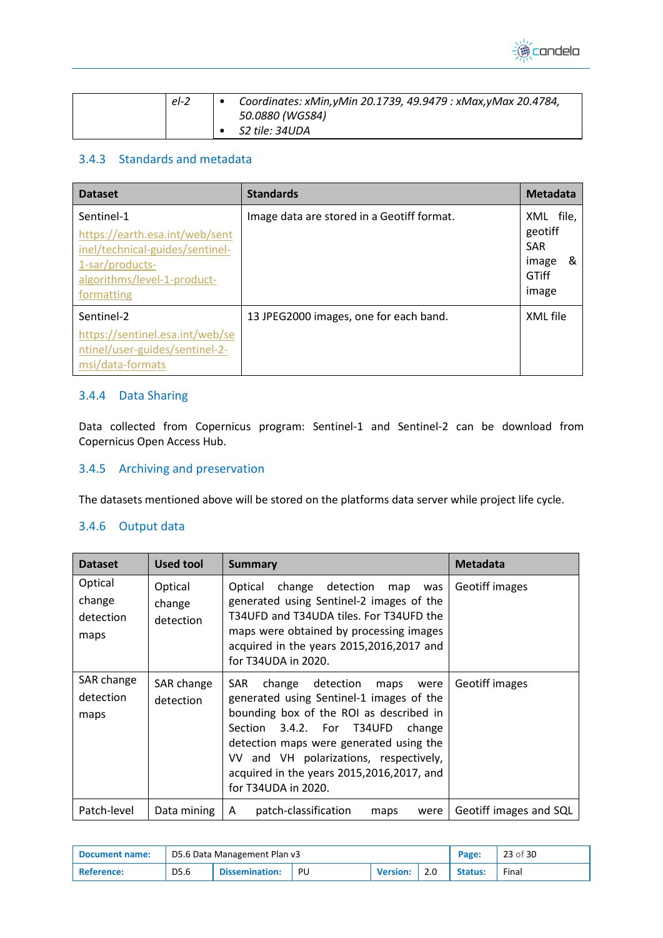

| $el-2$ | Coordinates: xMin, yMin 20.1739, 49.9479 : xMax, yMax 20.4784, |
|--------|----------------------------------------------------------------|
|        | 50.0880 (WGS84)                                                |
|        | <i>S2 tile: 34UDA</i>                                          |

### <span id="page-22-0"></span>3.4.3 Standards and metadata

| <b>Dataset</b>                                                                                                                                  | <b>Standards</b>                           | <b>Metadata</b>                                                    |
|-------------------------------------------------------------------------------------------------------------------------------------------------|--------------------------------------------|--------------------------------------------------------------------|
| Sentinel-1<br>https://earth.esa.int/web/sent<br>inel/technical-guides/sentinel-<br>1-sar/products-<br>algorithms/level-1-product-<br>formatting | Image data are stored in a Geotiff format. | XML file,<br>geotiff<br><b>SAR</b><br>&<br>image<br>GTiff<br>image |
| Sentinel-2<br>https://sentinel.esa.int/web/se<br>ntinel/user-guides/sentinel-2-<br>msi/data-formats                                             | 13 JPEG2000 images, one for each band.     | XML file                                                           |

#### <span id="page-22-1"></span>3.4.4 Data Sharing

Data collected from Copernicus program: Sentinel-1 and Sentinel-2 can be download from Copernicus Open Access Hub.

#### <span id="page-22-2"></span>3.4.5 Archiving and preservation

The datasets mentioned above will be stored on the platforms data server while project life cycle.

#### <span id="page-22-3"></span>3.4.6 Output data

| <b>Dataset</b>                         | Used tool                      | <b>Summary</b>                                                                                                                                                                                                                                                                                                                  | <b>Metadata</b>        |
|----------------------------------------|--------------------------------|---------------------------------------------------------------------------------------------------------------------------------------------------------------------------------------------------------------------------------------------------------------------------------------------------------------------------------|------------------------|
| Optical<br>change<br>detection<br>maps | Optical<br>change<br>detection | change detection<br>Optical<br>map<br>was<br>generated using Sentinel-2 images of the<br>T34UFD and T34UDA tiles. For T34UFD the<br>maps were obtained by processing images<br>acquired in the years 2015,2016,2017 and<br>for T34UDA in 2020.                                                                                  | <b>Geotiff images</b>  |
| SAR change<br>detection<br>maps        | SAR change<br>detection        | SAR.<br>change detection<br>maps<br>were<br>generated using Sentinel-1 images of the<br>bounding box of the ROI as described in<br>Section 3.4.2. For T34UFD<br>change<br>detection maps were generated using the<br>VV and VH polarizations, respectively,<br>acquired in the years 2015,2016,2017, and<br>for T34UDA in 2020. | Geotiff images         |
| Patch-level                            | Data mining                    | patch-classification<br>A<br>were<br>maps                                                                                                                                                                                                                                                                                       | Geotiff images and SQL |

| Document name:          |      | D5.6 Data Management Plan v3 |    |                 |  |                | 23 of 30 |
|-------------------------|------|------------------------------|----|-----------------|--|----------------|----------|
| <sup>1</sup> Reference: | D5.6 | <b>Dissemination:</b>        | PU | <b>Version:</b> |  | <b>Status:</b> | Final    |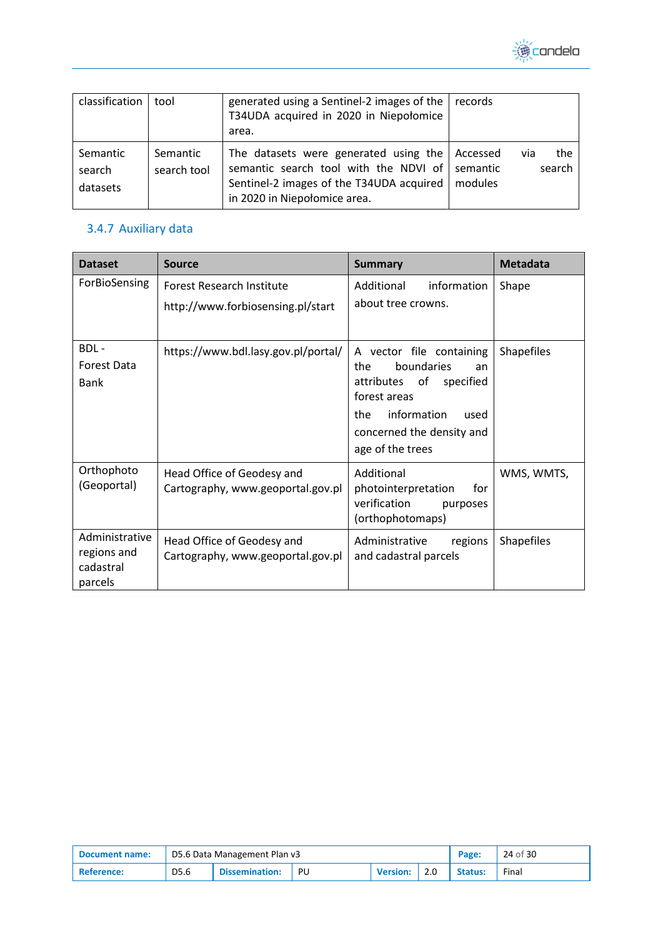

| classification                 | tool                    | generated using a Sentinel-2 images of the   records<br>T34UDA acquired in 2020 in Niepołomice<br>area.                                                                        |         |                      |
|--------------------------------|-------------------------|--------------------------------------------------------------------------------------------------------------------------------------------------------------------------------|---------|----------------------|
| Semantic<br>search<br>datasets | Semantic<br>search tool | The datasets were generated using the   Accessed<br>semantic search tool with the NDVI of semantic<br>Sentinel-2 images of the T34UDA acquired<br>in 2020 in Niepołomice area. | modules | the<br>via<br>search |

## <span id="page-23-0"></span>3.4.7 Auxiliary data

| <b>Dataset</b>                                        | <b>Source</b>                                                   | <b>Summary</b>                                                                                                                                                                   | <b>Metadata</b>   |
|-------------------------------------------------------|-----------------------------------------------------------------|----------------------------------------------------------------------------------------------------------------------------------------------------------------------------------|-------------------|
| ForBioSensing                                         | Forest Research Institute<br>http://www.forbiosensing.pl/start  | information<br>Additional<br>about tree crowns.                                                                                                                                  | Shape             |
| BDL-<br><b>Forest Data</b><br><b>Bank</b>             | https://www.bdl.lasy.gov.pl/portal/                             | A vector file containing<br>boundaries<br>the<br>an<br>attributes of<br>specified<br>forest areas<br>information<br>the<br>used<br>concerned the density and<br>age of the trees | <b>Shapefiles</b> |
| Orthophoto<br>(Geoportal)                             | Head Office of Geodesy and<br>Cartography, www.geoportal.gov.pl | Additional<br>photointerpretation<br>for<br>verification<br>purposes<br>(orthophotomaps)                                                                                         | WMS, WMTS,        |
| Administrative<br>regions and<br>cadastral<br>parcels | Head Office of Geodesy and<br>Cartography, www.geoportal.gov.pl | Administrative<br>regions<br>and cadastral parcels                                                                                                                               | <b>Shapefiles</b> |

| Document name: | D5.6 Data Management Plan v3 |                       |    |                 |     | Page:          | 24 of 30 |
|----------------|------------------------------|-----------------------|----|-----------------|-----|----------------|----------|
| ' Reference:   | D5.6                         | <b>Dissemination:</b> | PU | <b>Version:</b> | 2.0 | <b>Status:</b> | Final    |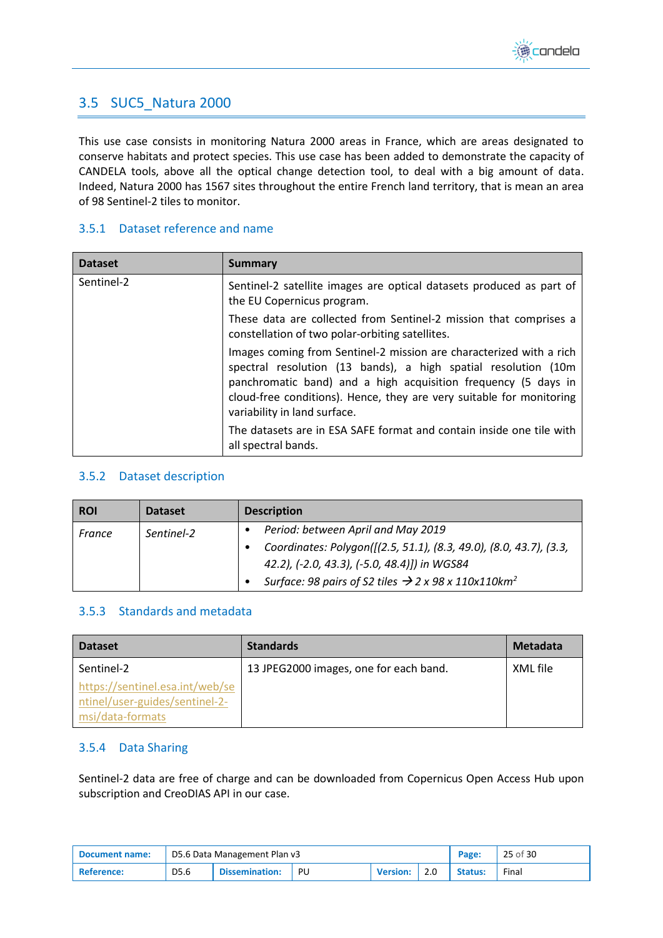

## <span id="page-24-0"></span>3.5 SUC5\_Natura 2000

This use case consists in monitoring Natura 2000 areas in France, which are areas designated to conserve habitats and protect species. This use case has been added to demonstrate the capacity of CANDELA tools, above all the optical change detection tool, to deal with a big amount of data. Indeed, Natura 2000 has 1567 sites throughout the entire French land territory, that is mean an area of 98 Sentinel-2 tiles to monitor.

#### <span id="page-24-1"></span>3.5.1 Dataset reference and name

| <b>Dataset</b> | <b>Summary</b>                                                                                                                                                                                                                                                                                                  |
|----------------|-----------------------------------------------------------------------------------------------------------------------------------------------------------------------------------------------------------------------------------------------------------------------------------------------------------------|
| Sentinel-2     | Sentinel-2 satellite images are optical datasets produced as part of<br>the EU Copernicus program.                                                                                                                                                                                                              |
|                | These data are collected from Sentinel-2 mission that comprises a<br>constellation of two polar-orbiting satellites.                                                                                                                                                                                            |
|                | Images coming from Sentinel-2 mission are characterized with a rich<br>spectral resolution (13 bands), a high spatial resolution (10m<br>panchromatic band) and a high acquisition frequency (5 days in<br>cloud-free conditions). Hence, they are very suitable for monitoring<br>variability in land surface. |
|                | The datasets are in ESA SAFE format and contain inside one tile with<br>all spectral bands.                                                                                                                                                                                                                     |

#### <span id="page-24-2"></span>3.5.2 Dataset description

| <b>ROI</b> | <b>Dataset</b> | <b>Description</b>                                                          |
|------------|----------------|-----------------------------------------------------------------------------|
| France     | Sentinel-2     | Period: between April and May 2019                                          |
|            |                | Coordinates: Polygon([(2.5, 51.1), (8.3, 49.0), (8.0, 43.7), (3.3,          |
|            |                | 42.2), (-2.0, 43.3), (-5.0, 48.4)]) in WGS84                                |
|            |                | Surface: 98 pairs of S2 tiles $\rightarrow$ 2 x 98 x 110x110km <sup>2</sup> |

#### <span id="page-24-3"></span>3.5.3 Standards and metadata

| <b>Dataset</b>                                                                        | <b>Standards</b>                       | <b>Metadata</b> |
|---------------------------------------------------------------------------------------|----------------------------------------|-----------------|
| Sentinel-2                                                                            | 13 JPEG2000 images, one for each band. | XML file        |
| https://sentinel.esa.int/web/se<br>ntinel/user-guides/sentinel-2-<br>msi/data-formats |                                        |                 |

#### <span id="page-24-4"></span>3.5.4 Data Sharing

Sentinel-2 data are free of charge and can be downloaded from Copernicus Open Access Hub upon subscription and CreoDIAS API in our case.

| <b>Document name:</b> | D5.6 Data Management Plan v3 |                       |    |                 |     | Page:          | 25 of 30 |
|-----------------------|------------------------------|-----------------------|----|-----------------|-----|----------------|----------|
| <b>Reference:</b>     | D5.6                         | <b>Dissemination:</b> | PU | <b>Version:</b> | 2.0 | <b>Status:</b> | Final    |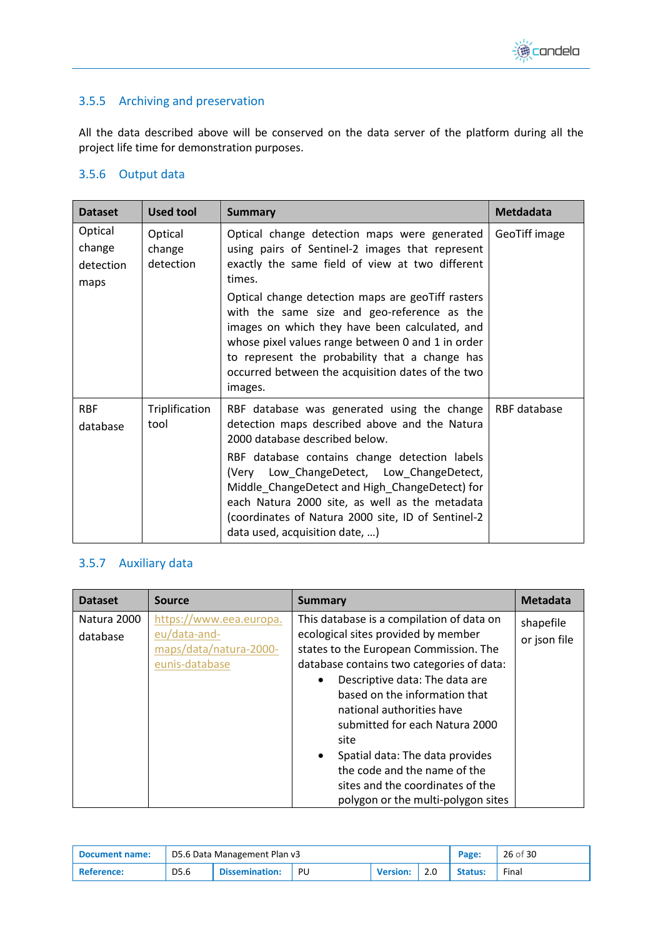

## <span id="page-25-0"></span>3.5.5 Archiving and preservation

All the data described above will be conserved on the data server of the platform during all the project life time for demonstration purposes.

## <span id="page-25-1"></span>3.5.6 Output data

| <b>Dataset</b>                         | <b>Used tool</b>               | <b>Summary</b>                                                                                                                                                                                                                                                                                                                                                                                                           | <b>Metdadata</b> |
|----------------------------------------|--------------------------------|--------------------------------------------------------------------------------------------------------------------------------------------------------------------------------------------------------------------------------------------------------------------------------------------------------------------------------------------------------------------------------------------------------------------------|------------------|
| Optical<br>change<br>detection<br>maps | Optical<br>change<br>detection | Optical change detection maps were generated<br>using pairs of Sentinel-2 images that represent<br>exactly the same field of view at two different<br>times.                                                                                                                                                                                                                                                             | GeoTiff image    |
|                                        |                                | Optical change detection maps are geoTiff rasters<br>with the same size and geo-reference as the<br>images on which they have been calculated, and<br>whose pixel values range between 0 and 1 in order<br>to represent the probability that a change has<br>occurred between the acquisition dates of the two<br>images.                                                                                                |                  |
| <b>RBF</b><br>database                 | Triplification<br>tool         | RBF database was generated using the change<br>detection maps described above and the Natura<br>2000 database described below.<br>RBF database contains change detection labels<br>(Very Low_ChangeDetect, Low_ChangeDetect,<br>Middle_ChangeDetect and High_ChangeDetect) for<br>each Natura 2000 site, as well as the metadata<br>(coordinates of Natura 2000 site, ID of Sentinel-2<br>data used, acquisition date, ) | RBF database     |

## <span id="page-25-2"></span>3.5.7 Auxiliary data

| <b>Dataset</b>          | <b>Source</b>                                                                       | <b>Summary</b>                                                                                                                                                                                                                                                                                                                                                                                                                                                 | <b>Metadata</b>           |
|-------------------------|-------------------------------------------------------------------------------------|----------------------------------------------------------------------------------------------------------------------------------------------------------------------------------------------------------------------------------------------------------------------------------------------------------------------------------------------------------------------------------------------------------------------------------------------------------------|---------------------------|
| Natura 2000<br>database | https://www.eea.europa.<br>eu/data-and-<br>maps/data/natura-2000-<br>eunis-database | This database is a compilation of data on<br>ecological sites provided by member<br>states to the European Commission. The<br>database contains two categories of data:<br>Descriptive data: The data are<br>based on the information that<br>national authorities have<br>submitted for each Natura 2000<br>site<br>Spatial data: The data provides<br>the code and the name of the<br>sites and the coordinates of the<br>polygon or the multi-polygon sites | shapefile<br>or json file |

| Document name: | D5.6 Data Management Plan v3 |                       |    |                 |     | Page:          | 26 of 30 |
|----------------|------------------------------|-----------------------|----|-----------------|-----|----------------|----------|
| ' Reference:   | D5.6                         | <b>Dissemination:</b> | PU | <b>Version:</b> | 2.0 | <b>Status:</b> | Final    |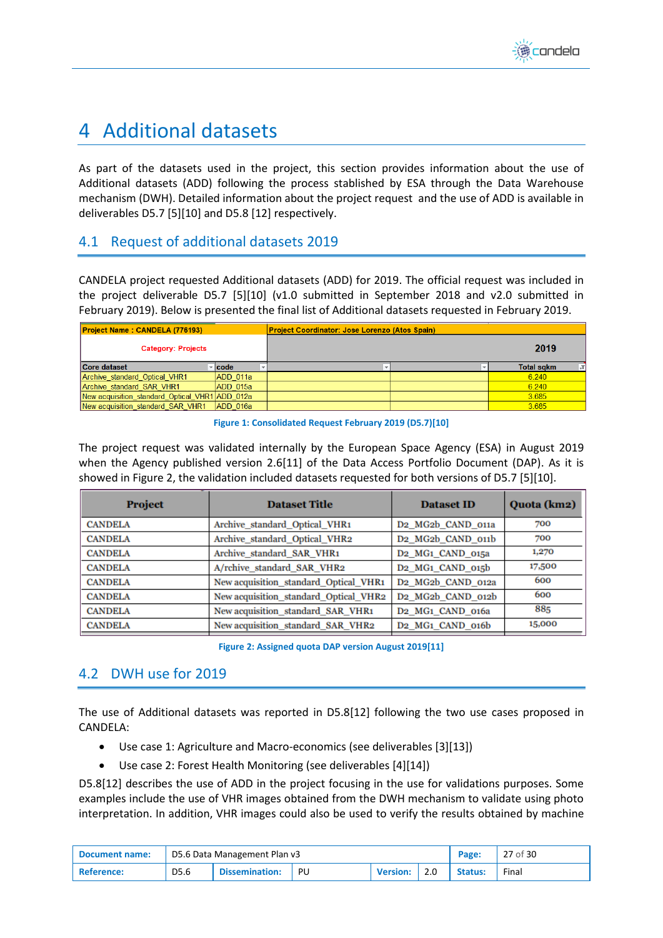## <span id="page-26-0"></span>4 Additional datasets

As part of the datasets used in the project, this section provides information about the use of Additional datasets (ADD) following the process stablished by ESA through the Data Warehouse mechanism (DWH). Detailed information about the project request and the use of ADD is available in deliverables D5.7 [\[5\]](#page-29-8)[\[10\]](#page-29-9) and D5.[8 \[12\]](#page-29-10) respectively.

## <span id="page-26-1"></span>4.1 Request of additional datasets 2019

CANDELA project requested Additional datasets (ADD) for 2019. The official request was included in the project deliverable D5.7 [\[5\]](#page-29-8)[\[10\]](#page-29-9) (v1.0 submitted in September 2018 and v2.0 submitted in February 2019). Below is presented the final list of Additional datasets requested in February 2019.

| <b>Project Name: CANDELA (776193)</b>          |             | <b>Project Coordinator: Jose Lorenzo (Atos Spain)</b> |                   |
|------------------------------------------------|-------------|-------------------------------------------------------|-------------------|
| <b>Category: Projects</b>                      |             |                                                       | 2019              |
| Core dataset                                   | <b>code</b> |                                                       | <b>Total sqkm</b> |
| Archive standard Optical VHR1                  | ADD 011a    |                                                       | 6.240             |
| Archive standard SAR VHR1                      | ADD 015a    |                                                       | 6.240             |
| New acquisition standard Optical VHR1 ADD 012a |             |                                                       | 3.685             |
| New acquisition standard SAR VHR1              | ADD 016a    |                                                       | 3.685             |

**Figure 1: Consolidated Request February 2019 (D5.7[\)\[10\]](#page-29-9)**

<span id="page-26-3"></span>The project request was validated internally by the European Space Agency (ESA) in August 2019 when the Agency published version 2.[6\[11\]](#page-29-11) of the Data Access Portfolio Document (DAP). As it is showed in [Figure 2,](#page-26-4) the validation included datasets requested for both versions of D5.[7 \[5\]](#page-29-8)[\[10\].](#page-29-9)

| <b>Project</b> | <b>Dataset Title</b>                  | <b>Dataset ID</b>                          | Quota (km2) |
|----------------|---------------------------------------|--------------------------------------------|-------------|
| <b>CANDELA</b> | Archive_standard_Optical_VHR1         | D2 MG2b CAND 011a                          | 700         |
| <b>CANDELA</b> | Archive standard Optical VHR2         | D <sub>2</sub> MG <sub>2</sub> b CAND 011b | 700         |
| <b>CANDELA</b> | Archive standard SAR VHR1             | D <sub>2</sub> MG <sub>1</sub> CAND 015a   | 1,270       |
| <b>CANDELA</b> | A/rchive standard SAR VHR2            | D <sub>2</sub> MG <sub>1</sub> CAND 015b   | 17,500      |
| <b>CANDELA</b> | New acquisition_standard_Optical_VHR1 | D2_MG2b_CAND_012a                          | 600         |
| <b>CANDELA</b> | New acquisition_standard_Optical_VHR2 | D <sub>2</sub> MG <sub>2</sub> b CAND 012b | 600         |
| <b>CANDELA</b> | New acquisition_standard_SAR_VHR1     | D <sub>2</sub> MG <sub>1</sub> CAND 016a   | 885         |
| <b>CANDELA</b> | New acquisition standard SAR VHR2     | D <sub>2</sub> MG <sub>1</sub> CAND 016b   | 15,000      |

**Figure 2: Assigned quota DAP version August 201[9\[11\]](#page-29-11)**

## <span id="page-26-4"></span><span id="page-26-2"></span>4.2 DWH use for 2019

The use of Additional datasets was reported in D5.[8\[12\]](#page-29-10) following the two use cases proposed in CANDELA:

- Use case 1: Agriculture and Macro-economics (see deliverables [\[3\]](#page-29-12)[\[13\]\)](#page-29-13)
- Use case 2: Forest Health Monitoring (see deliverables [\[4\]](#page-29-14)[\[14\]\)](#page-29-15)

D5.[8\[12\]](#page-29-10) describes the use of ADD in the project focusing in the use for validations purposes. Some examples include the use of VHR images obtained from the DWH mechanism to validate using photo interpretation. In addition, VHR images could also be used to verify the results obtained by machine

| Document name:    | D5.6 Data Management Plan v3 |                       |    |                 |     | Page:   | 27 of 30 |
|-------------------|------------------------------|-----------------------|----|-----------------|-----|---------|----------|
| <b>Reference:</b> | D <sub>5.6</sub>             | <b>Dissemination:</b> | PU | <b>Version:</b> | 2.0 | Status: | Final    |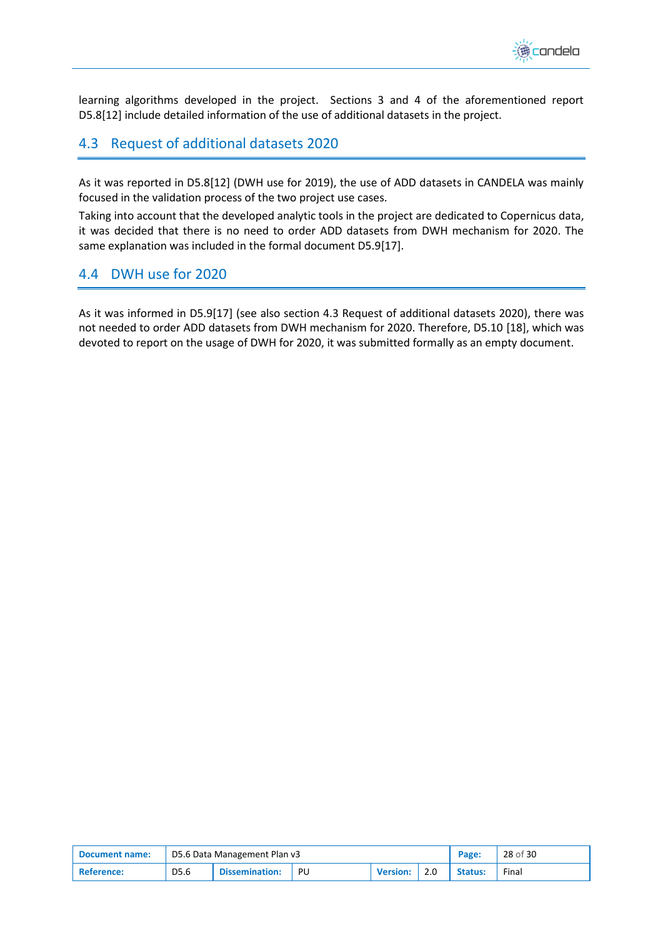

learning algorithms developed in the project. Sections 3 and 4 of the aforementioned report D5.[8\[12\]](#page-29-10) include detailed information of the use of additional datasets in the project.

## <span id="page-27-0"></span>4.3 Request of additional datasets 2020

As it was reported in D5.[8\[12\]](#page-29-10) (DWH use for 2019), the use of ADD datasets in CANDELA was mainly focused in the validation process of the two project use cases.

Taking into account that the developed analytic tools in the project are dedicated to Copernicus data, it was decided that there is no need to order ADD datasets from DWH mechanism for 2020. The same explanation was included in the formal document D5.[9\[17\].](#page-29-16)

## <span id="page-27-1"></span>4.4 DWH use for 2020

As it was informed in D5.[9\[17\]](#page-29-16) (see also section [4.3](#page-27-0) [Request of additional datasets 2020\)](#page-27-0), there was not needed to order ADD datasets from DWH mechanism for 2020. Therefore, D5.10 [\[18\],](#page-29-17) which was devoted to report on the usage of DWH for 2020, it was submitted formally as an empty document.

| Document name: | D5.6 Data Management Plan v3 |                       |     |                 |  | Page:          | 28 of 30 |
|----------------|------------------------------|-----------------------|-----|-----------------|--|----------------|----------|
| 'Reference:    | D5.6                         | <b>Dissemination:</b> | PU. | <b>Version:</b> |  | <b>Status:</b> | Final    |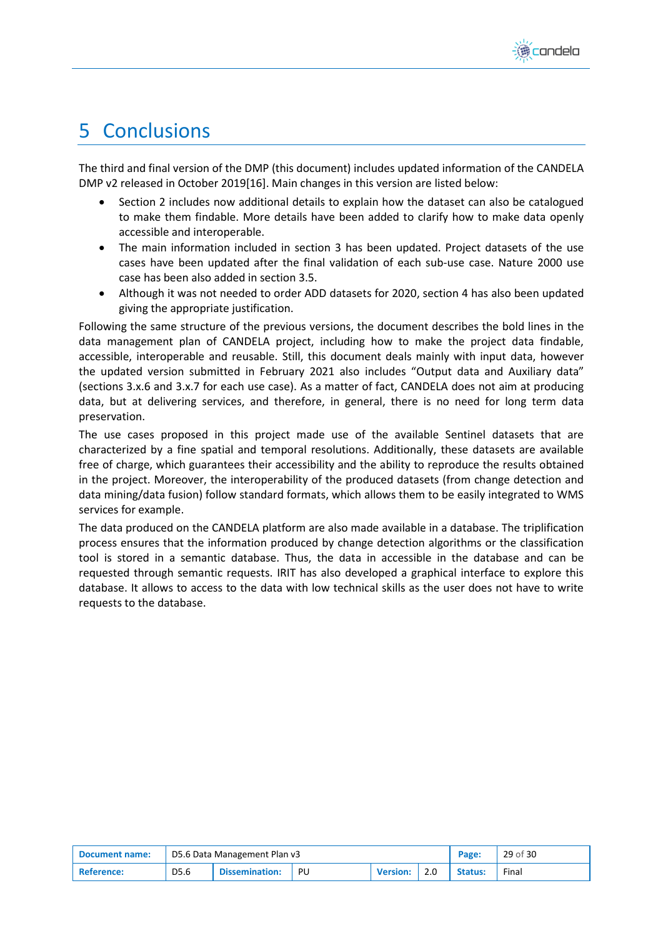

## <span id="page-28-0"></span>5 Conclusions

The third and final version of the DMP (this document) includes updated information of the CANDELA DMP v2 released in October 201[9\[16\].](#page-29-4) Main changes in this version are listed below:

- Section [2](#page-9-0) includes now additional details to explain how the dataset can also be catalogued to make them findable. More details have been added to clarify how to make data openly accessible and interoperable.
- The main information included in section [3](#page-11-0) has been updated. Project datasets of the use cases have been updated after the final validation of each sub-use case. Nature 2000 use case has been also added in section [3.5.](#page-24-0)
- Although it was not needed to order ADD datasets for 2020, section [4](#page-26-0) has also been updated giving the appropriate justification.

Following the same structure of the previous versions, the document describes the bold lines in the data management plan of CANDELA project, including how to make the project data findable, accessible, interoperable and reusable. Still, this document deals mainly with input data, however the updated version submitted in February 2021 also includes "Output data and Auxiliary data" (sections 3.x.6 and 3.x.7 for each use case). As a matter of fact, CANDELA does not aim at producing data, but at delivering services, and therefore, in general, there is no need for long term data preservation.

The use cases proposed in this project made use of the available Sentinel datasets that are characterized by a fine spatial and temporal resolutions. Additionally, these datasets are available free of charge, which guarantees their accessibility and the ability to reproduce the results obtained in the project. Moreover, the interoperability of the produced datasets (from change detection and data mining/data fusion) follow standard formats, which allows them to be easily integrated to WMS services for example.

The data produced on the CANDELA platform are also made available in a database. The triplification process ensures that the information produced by change detection algorithms or the classification tool is stored in a semantic database. Thus, the data in accessible in the database and can be requested through semantic requests. IRIT has also developed a graphical interface to explore this database. It allows to access to the data with low technical skills as the user does not have to write requests to the database.

| Document name: | D5.6 Data Management Plan v3 |                       |    |                 |  | Page:          | 29 of 30 |
|----------------|------------------------------|-----------------------|----|-----------------|--|----------------|----------|
| Reference:     | D5.6                         | <b>Dissemination:</b> | PU | <b>Version:</b> |  | <b>Status:</b> | Final    |